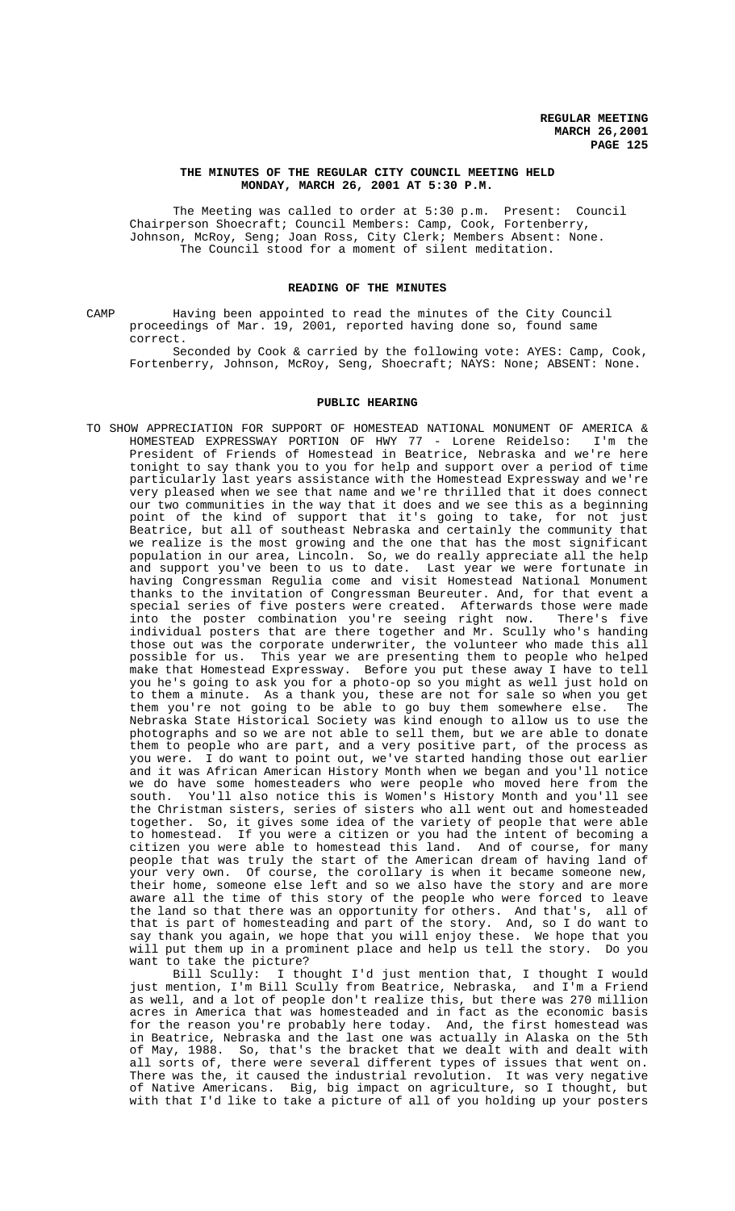#### **THE MINUTES OF THE REGULAR CITY COUNCIL MEETING HELD MONDAY, MARCH 26, 2001 AT 5:30 P.M.**

The Meeting was called to order at 5:30 p.m. Present: Council Chairperson Shoecraft; Council Members: Camp, Cook, Fortenberry, Johnson, McRoy, Seng; Joan Ross, City Clerk; Members Absent: None. The Council stood for a moment of silent meditation.

# **READING OF THE MINUTES**

CAMP Having been appointed to read the minutes of the City Council proceedings of Mar. 19, 2001, reported having done so, found same correct.

Seconded by Cook & carried by the following vote: AYES: Camp, Cook, Fortenberry, Johnson, McRoy, Seng, Shoecraft; NAYS: None; ABSENT: None.

#### **PUBLIC HEARING**

TO SHOW APPRECIATION FOR SUPPORT OF HOMESTEAD NATIONAL MONUMENT OF AMERICA & HOMESTEAD EXPRESSWAY PORTION OF HWY 77 - Lorene Reidelso: I'm the President of Friends of Homestead in Beatrice, Nebraska and we're here tonight to say thank you to you for help and support over a period of time particularly last years assistance with the Homestead Expressway and we're very pleased when we see that name and we're thrilled that it does connect our two communities in the way that it does and we see this as a beginning point of the kind of support that it's going to take, for not just Beatrice, but all of southeast Nebraska and certainly the community that we realize is the most growing and the one that has the most significant population in our area, Lincoln. So, we do really appreciate all the help and support you've been to us to date. Last year we were fortunate in having Congressman Regulia come and visit Homestead National Monument thanks to the invitation of Congressman Beureuter. And, for that event a special series of five posters were created. Afterwards those were made into the poster combination you're seeing right now. There's five individual posters that are there together and Mr. Scully who's handing those out was the corporate underwriter, the volunteer who made this all possible for us. This year we are presenting them to people who helped make that Homestead Expressway. Before you put these away I have to tell you he's going to ask you for a photo-op so you might as well just hold on to them a minute. As a thank you, these are not for sale so when you get them you're not going to be able to go buy them somewhere else. The Nebraska State Historical Society was kind enough to allow us to use the photographs and so we are not able to sell them, but we are able to donate them to people who are part, and a very positive part, of the process as you were. I do want to point out, we've started handing those out earlier and it was African American History Month when we began and you'll notice we do have some homesteaders who were people who moved here from the south. You'll also notice this is Women's History Month and you'll see the Christman sisters, series of sisters who all went out and homesteaded together. So, it gives some idea of the variety of people that were able to homestead. If you were a citizen or you had the intent of becoming a citizen you were able to homestead this land. And of course, for many people that was truly the start of the American dream of having land of your very own. Of course, the corollary is when it became someone new, their home, someone else left and so we also have the story and are more aware all the time of this story of the people who were forced to leave the land so that there was an opportunity for others. And that's, all of that is part of homesteading and part of the story. And, so I do want to say thank you again, we hope that you will enjoy these. We hope that you will put them up in a prominent place and help us tell the story. Do you want to take the picture?

Bill Scully: I thought I'd just mention that, I thought I would just mention, I'm Bill Scully from Beatrice, Nebraska, and I'm a Friend as well, and a lot of people don't realize this, but there was 270 million acres in America that was homesteaded and in fact as the economic basis for the reason you're probably here today. And, the first homestead was in Beatrice, Nebraska and the last one was actually in Alaska on the 5th of May, 1988. So, that's the bracket that we dealt with and dealt with all sorts of, there were several different types of issues that went on. There was the, it caused the industrial revolution. It was very negative of Native Americans. Big, big impact on agriculture, so I thought, but with that I'd like to take a picture of all of you holding up your posters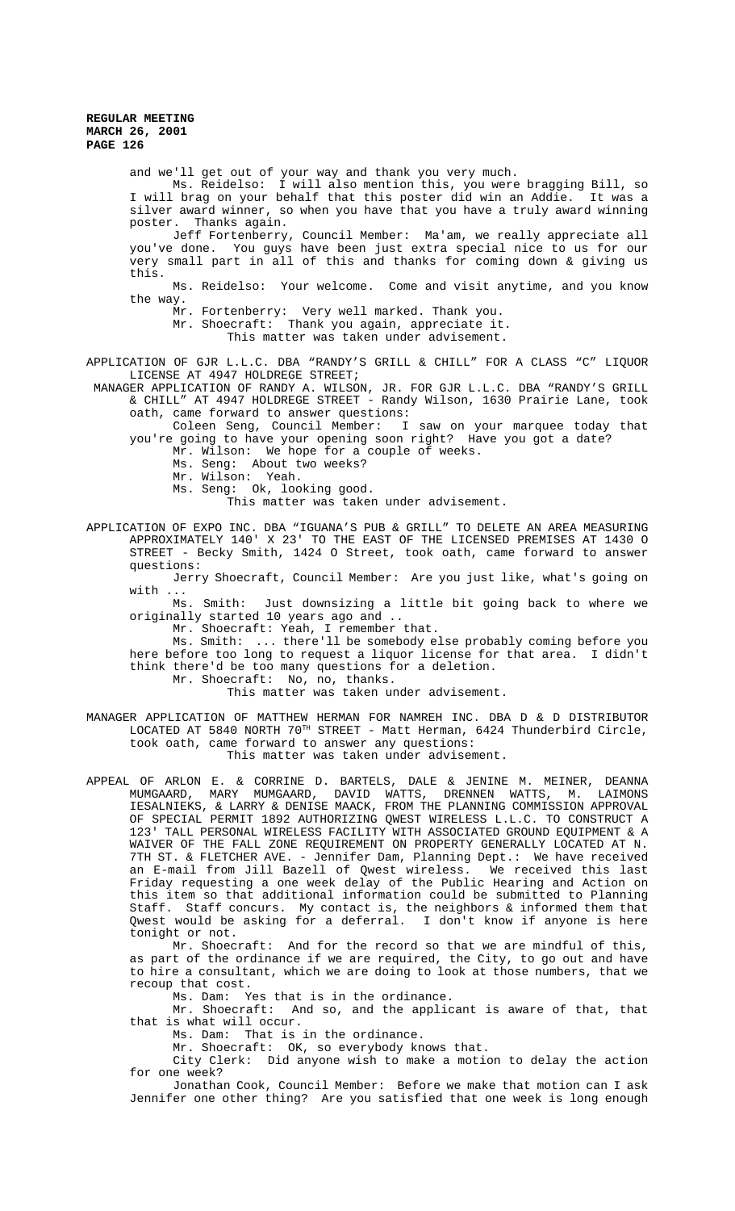and we'll get out of your way and thank you very much.

Ms. Reidelso: I will also mention this, you were bragging Bill, so I will brag on your behalf that this poster did win an Addie. It was a silver award winner, so when you have that you have a truly award winning poster. Thanks again.

Jeff Fortenberry, Council Member: Ma'am, we really appreciate all you've done. You guys have been just extra special nice to us for our very small part in all of this and thanks for coming down & giving us this.

Ms. Reidelso: Your welcome. Come and visit anytime, and you know the way.

Mr. Fortenberry: Very well marked. Thank you.

Mr. Shoecraft: Thank you again, appreciate it.

This matter was taken under advisement.

APPLICATION OF GJR L.L.C. DBA "RANDY'S GRILL & CHILL" FOR A CLASS "C" LIQUOR LICENSE AT 4947 HOLDREGE STREET;

 MANAGER APPLICATION OF RANDY A. WILSON, JR. FOR GJR L.L.C. DBA "RANDY'S GRILL & CHILL" AT 4947 HOLDREGE STREET - Randy Wilson, 1630 Prairie Lane, took oath, came forward to answer questions:

Coleen Seng, Council Member: I saw on your marquee today that you're going to have your opening soon right? Have you got a date?

Mr. Wilson: We hope for a couple of weeks.

Ms. Seng: About two weeks?

- Mr. Wilson: Yeah.
- Ms. Seng: Ok, looking good.
	- This matter was taken under advisement.

APPLICATION OF EXPO INC. DBA "IGUANA'S PUB & GRILL" TO DELETE AN AREA MEASURING APPROXIMATELY 140' X 23' TO THE EAST OF THE LICENSED PREMISES AT 1430 O STREET - Becky Smith, 1424 O Street, took oath, came forward to answer questions:

Jerry Shoecraft, Council Member: Are you just like, what's going on with ...

Ms. Smith: Just downsizing a little bit going back to where we originally started 10 years ago and ..

Mr. Shoecraft: Yeah, I remember that.

Ms. Smith: ... there'll be somebody else probably coming before you here before too long to request a liquor license for that area. I didn't think there'd be too many questions for a deletion.

Mr. Shoecraft: No, no, thanks.

This matter was taken under advisement.

MANAGER APPLICATION OF MATTHEW HERMAN FOR NAMREH INC. DBA D & D DISTRIBUTOR LOCATED AT 5840 NORTH  $70^{\text{TH}}$  STREET - Matt Herman, 6424 Thunderbird Circle, took oath, came forward to answer any questions:

This matter was taken under advisement.

APPEAL OF ARLON E. & CORRINE D. BARTELS, DALE & JENINE M. MEINER, DEANNA MUMGAARD, MARY MUMGAARD, DAVID WATTS, DRENNEN WATTS, M. LAIMONS IESALNIEKS, & LARRY & DENISE MAACK, FROM THE PLANNING COMMISSION APPROVAL OF SPECIAL PERMIT 1892 AUTHORIZING QWEST WIRELESS L.L.C. TO CONSTRUCT A 123' TALL PERSONAL WIRELESS FACILITY WITH ASSOCIATED GROUND EQUIPMENT & A WAIVER OF THE FALL ZONE REQUIREMENT ON PROPERTY GENERALLY LOCATED AT N. 7TH ST. & FLETCHER AVE. - Jennifer Dam, Planning Dept.: We have received an E-mail from Jill Bazell of Qwest wireless. We received this last Friday requesting a one week delay of the Public Hearing and Action on this item so that additional information could be submitted to Planning Staff. Staff concurs. My contact is, the neighbors & informed them that<br>Qwest would be asking for a deferral. I don't know if anyone is here Qwest would be asking for a deferral. tonight or not.

Mr. Shoecraft: And for the record so that we are mindful of this, as part of the ordinance if we are required, the City, to go out and have to hire a consultant, which we are doing to look at those numbers, that we recoup that cost.

Ms. Dam: Yes that is in the ordinance.

Mr. Shoecraft: And so, and the applicant is aware of that, that that is what will occur.

Ms. Dam: That is in the ordinance.

Mr. Shoecraft: OK, so everybody knows that.

City Clerk: Did anyone wish to make a motion to delay the action for one week?

Jonathan Cook, Council Member: Before we make that motion can I ask Jennifer one other thing? Are you satisfied that one week is long enough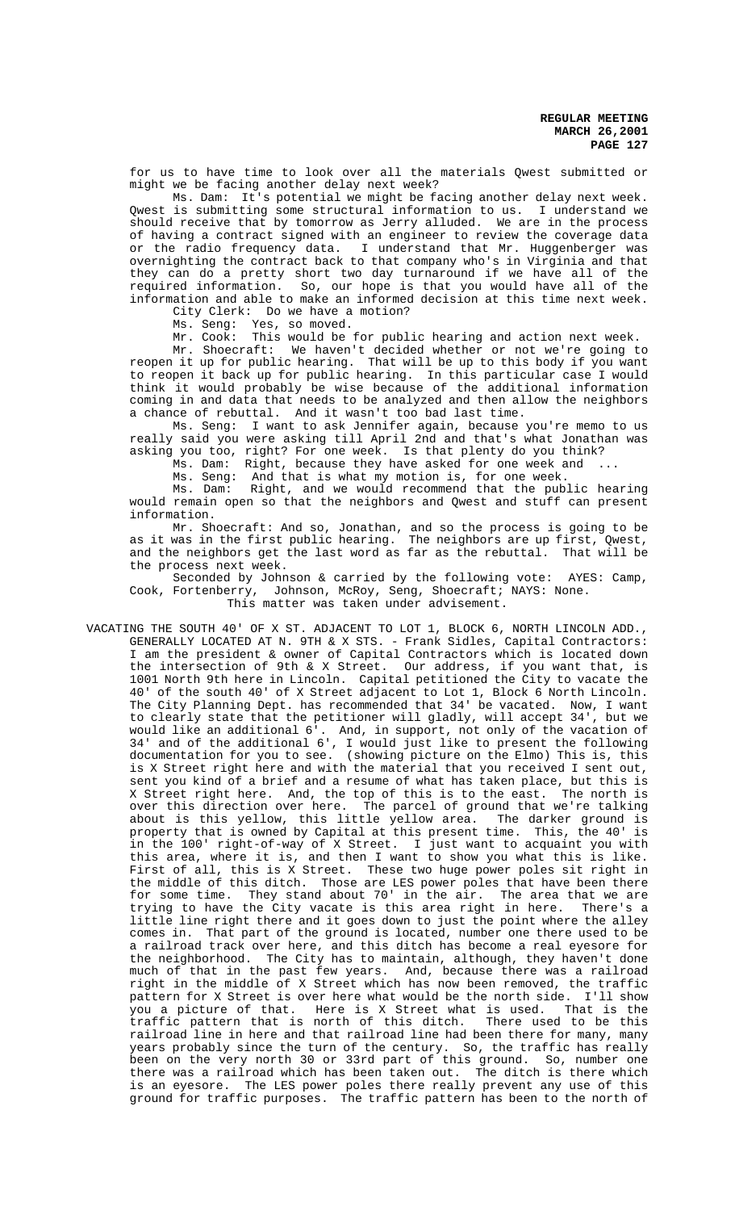for us to have time to look over all the materials Qwest submitted or might we be facing another delay next week?

Ms. Dam: It's potential we might be facing another delay next week. Qwest is submitting some structural information to us. I understand we should receive that by tomorrow as Jerry alluded. We are in the process of having a contract signed with an engineer to review the coverage data or the radio frequency data. I understand that Mr. Huggenberger was overnighting the contract back to that company who's in Virginia and that they can do a pretty short two day turnaround if we have all of the required information. So, our hope is that you would have all of the information and able to make an informed decision at this time next week. City Clerk: Do we have a motion?

Ms. Seng: Yes, so moved.

Mr. Cook: This would be for public hearing and action next week.

Mr. Shoecraft: We haven't decided whether or not we're going to reopen it up for public hearing. That will be up to this body if you want to reopen it back up for public hearing. In this particular case I would think it would probably be wise because of the additional information coming in and data that needs to be analyzed and then allow the neighbors a chance of rebuttal. And it wasn't too bad last time.

Ms. Seng: I want to ask Jennifer again, because you're memo to us really said you were asking till April 2nd and that's what Jonathan was asking you too, right? For one week. Is that plenty do you think?

Ms. Dam: Right, because they have asked for one week and

Ms. Seng: And that is what my motion is, for one week.

Ms. Dam: Right, and we would recommend that the public hearing would remain open so that the neighbors and Qwest and stuff can present information.

Mr. Shoecraft: And so, Jonathan, and so the process is going to be as it was in the first public hearing. The neighbors are up first, Qwest, and the neighbors get the last word as far as the rebuttal. That will be the process next week.

Seconded by Johnson & carried by the following vote: AYES: Camp, Cook, Fortenberry, Johnson, McRoy, Seng, Shoecraft; NAYS: None.

This matter was taken under advisement.

VACATING THE SOUTH 40' OF X ST. ADJACENT TO LOT 1, BLOCK 6, NORTH LINCOLN ADD., GENERALLY LOCATED AT N. 9TH & X STS. - Frank Sidles, Capital Contractors: I am the president & owner of Capital Contractors which is located down the intersection of 9th & X Street. Our address, if you want that, is 1001 North 9th here in Lincoln. Capital petitioned the City to vacate the 40' of the south 40' of X Street adjacent to Lot 1, Block 6 North Lincoln. The City Planning Dept. has recommended that 34' be vacated. Now, I want to clearly state that the petitioner will gladly, will accept 34', but we would like an additional 6'. And, in support, not only of the vacation of 34' and of the additional 6', I would just like to present the following documentation for you to see. (showing picture on the Elmo) This is, this is X Street right here and with the material that you received I sent out, sent you kind of a brief and a resume of what has taken place, but this is X Street right here. And, the top of this is to the east. The north is over this direction over here. The parcel of ground that we're talking about is this yellow, this little yellow area. The darker ground is property that is owned by Capital at this present time. This, the 40' is in the 100' right-of-way of X Street. I just want to acquaint you with this area, where it is, and then I want to show you what this is like. First of all, this is X Street. These two huge power poles sit right in the middle of this ditch. Those are LES power poles that have been there for some time. They stand about 70' in the air. The area that we are trying to have the City vacate is this area right in here. There's a little line right there and it goes down to just the point where the alley comes in. That part of the ground is located, number one there used to be a railroad track over here, and this ditch has become a real eyesore for the neighborhood. The City has to maintain, although, they haven't done much of that in the past few years. And, because there was a railroad right in the middle of X Street which has now been removed, the traffic pattern for X Street is over here what would be the north side. I'll show you a picture of that. Here is X Street what is used. That is the traffic pattern that is north of this ditch. There used to be this railroad line in here and that railroad line had been there for many, many years probably since the turn of the century. So, the traffic has really been on the very north 30 or 33rd part of this ground. So, number one there was a railroad which has been taken out. The ditch is there which is an eyesore. The LES power poles there really prevent any use of this ground for traffic purposes. The traffic pattern has been to the north of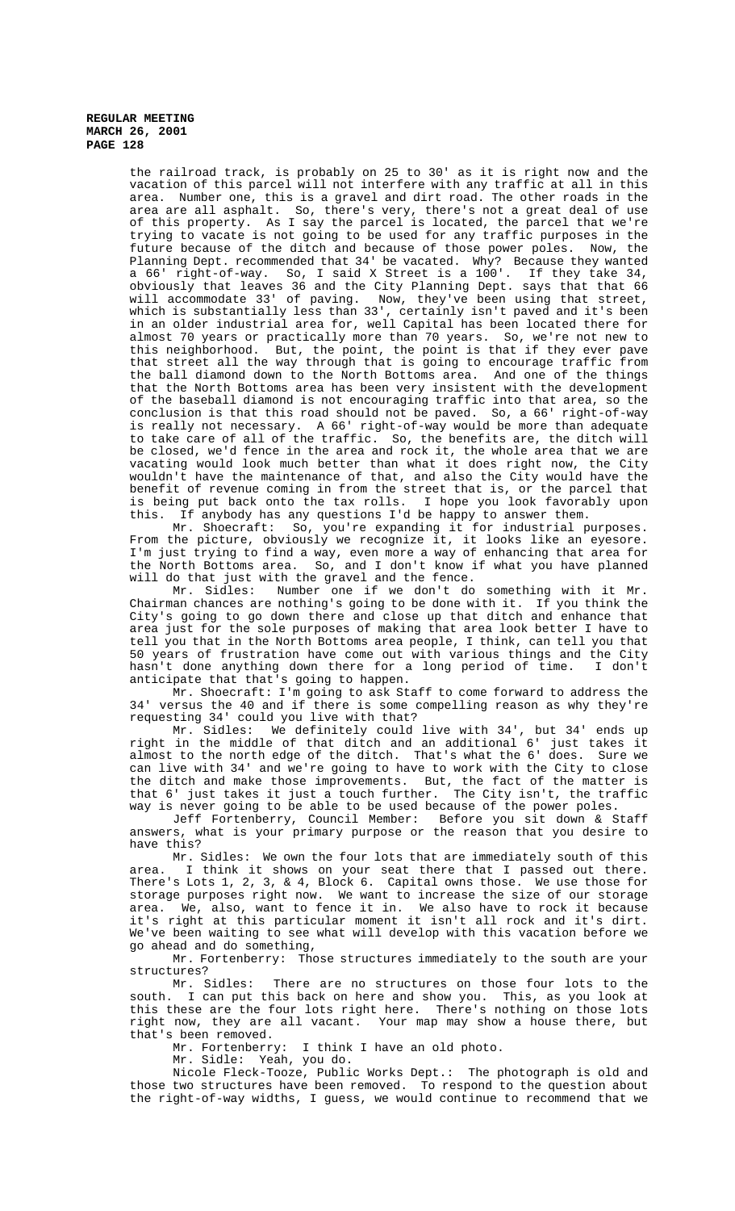> the railroad track, is probably on 25 to 30' as it is right now and the vacation of this parcel will not interfere with any traffic at all in this area. Number one, this is a gravel and dirt road. The other roads in the area are all asphalt. So, there's very, there's not a great deal of use of this property. As I say the parcel is located, the parcel that we're trying to vacate is not going to be used for any traffic purposes in the future because of the ditch and because of those power poles. Now, the Planning Dept. recommended that 34' be vacated. Why? Because they wanted a 66' right-of-way. So, I said X Street is a 100'. If they take 34, obviously that leaves 36 and the City Planning Dept. says that that 66 will accommodate 33' of paving. Now, they've been using that street, which is substantially less than 33', certainly isn't paved and it's been in an older industrial area for, well Capital has been located there for almost 70 years or practically more than 70 years. So, we're not new to this neighborhood. But, the point, the point is that if they ever pave that street all the way through that is going to encourage traffic from the ball diamond down to the North Bottoms area. And one of the things that the North Bottoms area has been very insistent with the development of the baseball diamond is not encouraging traffic into that area, so the conclusion is that this road should not be paved. So, a 66' right-of-way is really not necessary. A 66' right-of-way would be more than adequate to take care of all of the traffic. So, the benefits are, the ditch will be closed, we'd fence in the area and rock it, the whole area that we are vacating would look much better than what it does right now, the City wouldn't have the maintenance of that, and also the City would have the benefit of revenue coming in from the street that is, or the parcel that is being put back onto the tax rolls. I hope you look favorably upon this. If anybody has any questions I'd be happy to answer them.

> Mr. Shoecraft: So, you're expanding it for industrial purposes. From the picture, obviously we recognize it, it looks like an eyesore. I'm just trying to find a way, even more a way of enhancing that area for the North Bottoms area. So, and I don't know if what you have planned will do that just with the gravel and the fence.

> Mr. Sidles: Number one if we don't do something with it Mr. Chairman chances are nothing's going to be done with it. If you think the City's going to go down there and close up that ditch and enhance that area just for the sole purposes of making that area look better I have to tell you that in the North Bottoms area people, I think, can tell you that 50 years of frustration have come out with various things and the City hasn't done anything down there for a long period of time. I don't anticipate that that's going to happen.

> Mr. Shoecraft: I'm going to ask Staff to come forward to address the 34' versus the 40 and if there is some compelling reason as why they're requesting 34' could you live with that?

> Mr. Sidles: We definitely could live with 34', but 34' ends up right in the middle of that ditch and an additional 6' just takes it almost to the north edge of the ditch. That's what the 6' does. Sure we can live with 34' and we're going to have to work with the City to close the ditch and make those improvements. But, the fact of the matter is that 6' just takes it just a touch further. The City isn't, the traffic way is never going to be able to be used because of the power poles.

> Jeff Fortenberry, Council Member: Before you sit down & Staff answers, what is your primary purpose or the reason that you desire to have this?

> Mr. Sidles: We own the four lots that are immediately south of this area. I think it shows on your seat there that I passed out there. There's Lots 1, 2, 3, & 4, Block 6. Capital owns those. We use those for storage purposes right now. We want to increase the size of our storage area. We, also, want to fence it in. We also have to rock it because it's right at this particular moment it isn't all rock and it's dirt. We've been waiting to see what will develop with this vacation before we go ahead and do something,

> Mr. Fortenberry: Those structures immediately to the south are your

structures?<br>Mr. Sidles: There are no structures on those four lots to the south. I can put this back on here and show you. This, as you look at this these are the four lots right here. There's nothing on those lots right now, they are all vacant. Your map may show a house there, but that's been removed.

Mr. Fortenberry: I think I have an old photo.

Mr. Sidle: Yeah, you do.

Nicole Fleck-Tooze, Public Works Dept.: The photograph is old and those two structures have been removed. To respond to the question about the right-of-way widths, I guess, we would continue to recommend that we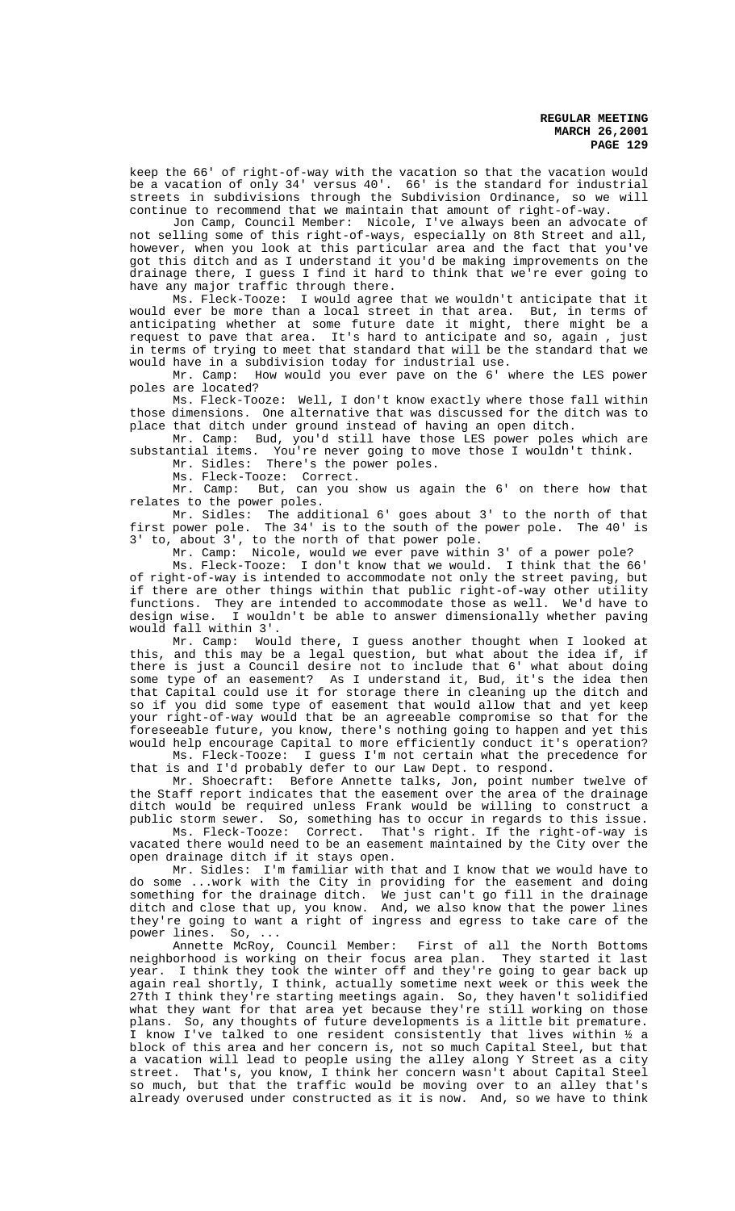keep the 66' of right-of-way with the vacation so that the vacation would be a vacation of only 34' versus 40'. 66' is the standard for industrial streets in subdivisions through the Subdivision Ordinance, so we will continue to recommend that we maintain that amount of right-of-way.

Jon Camp, Council Member: Nicole, I've always been an advocate of not selling some of this right-of-ways, especially on 8th Street and all, however, when you look at this particular area and the fact that you've got this ditch and as I understand it you'd be making improvements on the drainage there, I guess I find it hard to think that we're ever going to have any major traffic through there.

Ms. Fleck-Tooze: I would agree that we wouldn't anticipate that it would ever be more than a local street in that area. But, in terms of anticipating whether at some future date it might, there might be a request to pave that area. It's hard to anticipate and so, again , just in terms of trying to meet that standard that will be the standard that we would have in a subdivision today for industrial use.

Mr. Camp: How would you ever pave on the 6' where the LES power poles are located?

Ms. Fleck-Tooze: Well, I don't know exactly where those fall within those dimensions. One alternative that was discussed for the ditch was to place that ditch under ground instead of having an open ditch.

Mr. Camp: Bud, you'd still have those LES power poles which are substantial items. You're never going to move those I wouldn't think.

Mr. Sidles: There's the power poles.

Ms. Fleck-Tooze: Correct.

Mr. Camp: But, can you show us again the 6' on there how that relates to the power poles.

Mr. Sidles: The additional 6' goes about 3' to the north of that first power pole. The 34' is to the south of the power pole. The 40' is 3' to, about 3', to the north of that power pole.

Mr. Camp: Nicole, would we ever pave within 3' of a power pole?

Ms. Fleck-Tooze: I don't know that we would. I think that the 66' of right-of-way is intended to accommodate not only the street paving, but if there are other things within that public right-of-way other utility functions. They are intended to accommodate those as well. We'd have to design wise. I wouldn't be able to answer dimensionally whether paving would fall within 3'.

Mr. Camp: Would there, I guess another thought when I looked at this, and this may be a legal question, but what about the idea if, if there is just a Council desire not to include that 6' what about doing some type of an easement? As I understand it, Bud, it's the idea then that Capital could use it for storage there in cleaning up the ditch and so if you did some type of easement that would allow that and yet keep your right-of-way would that be an agreeable compromise so that for the foreseeable future, you know, there's nothing going to happen and yet this would help encourage Capital to more efficiently conduct it's operation? Ms. Fleck-Tooze: I guess I'm not certain what the precedence for

that is and I'd probably defer to our Law Dept. to respond.

Mr. Shoecraft: Before Annette talks, Jon, point number twelve of the Staff report indicates that the easement over the area of the drainage ditch would be required unless Frank would be willing to construct a public storm sewer. So, something has to occur in regards to this issue.

Ms. Fleck-Tooze: Correct. That's right. If the right-of-way is vacated there would need to be an easement maintained by the City over the open drainage ditch if it stays open.

Mr. Sidles: I'm familiar with that and I know that we would have to do some ...work with the City in providing for the easement and doing something for the drainage ditch. We just can't go fill in the drainage ditch and close that up, you know. And, we also know that the power lines they're going to want a right of ingress and egress to take care of the

power lines. So, ...<br>Annette McRoy, Council Member: First of all the North Bottoms neighborhood is working on their focus area plan. They started it last year. I think they took the winter off and they're going to gear back up again real shortly, I think, actually sometime next week or this week the 27th I think they're starting meetings again. So, they haven't solidified what they want for that area yet because they're still working on those plans. So, any thoughts of future developments is a little bit premature. I know I've talked to one resident consistently that lives within ½ a block of this area and her concern is, not so much Capital Steel, but that a vacation will lead to people using the alley along Y Street as a city street. That's, you know, I think her concern wasn't about Capital Steel so much, but that the traffic would be moving over to an alley that's already overused under constructed as it is now. And, so we have to think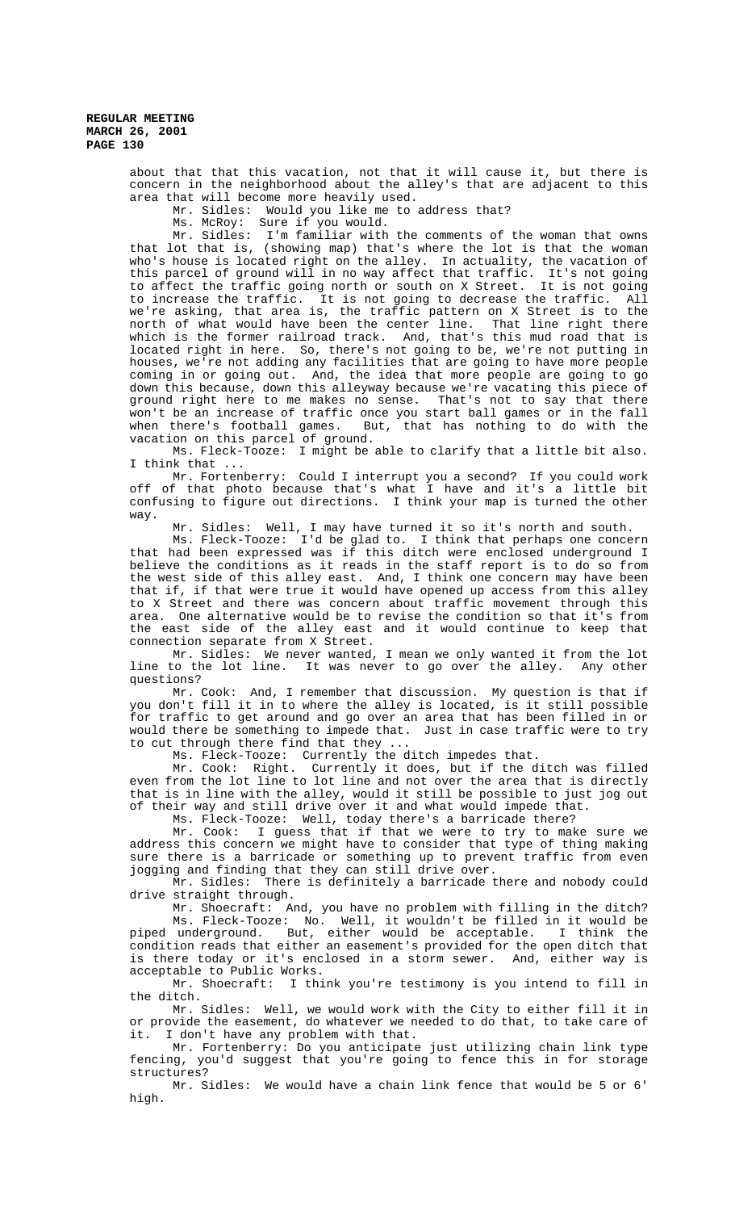> about that that this vacation, not that it will cause it, but there is concern in the neighborhood about the alley's that are adjacent to this area that will become more heavily used.

Mr. Sidles: Would you like me to address that?

Ms. McRoy: Sure if you would.

Mr. Sidles: I'm familiar with the comments of the woman that owns that lot that is, (showing map) that's where the lot is that the woman who's house is located right on the alley. In actuality, the vacation of this parcel of ground will in no way affect that traffic. It's not going to affect the traffic going north or south on X Street. It is not going to increase the traffic. It is not going to decrease the traffic. All we're asking, that area is, the traffic pattern on X Street is to the north of what would have been the center line. That line right there which is the former railroad track. And, that's this mud road that is located right in here. So, there's not going to be, we're not putting in houses, we're not adding any facilities that are going to have more people coming in or going out. And, the idea that more people are going to go And, the idea that more people are going to go down this because, down this alleyway because we're vacating this piece of ground right here to me makes no sense. That's not to say that there won't be an increase of traffic once you start ball games or in the fall when there's football games. But, that has nothing to do with the vacation on this parcel of ground.

Ms. Fleck-Tooze: I might be able to clarify that a little bit also. I think that ...

Mr. Fortenberry: Could I interrupt you a second? If you could work off of that photo because that's what I have and it's a little bit confusing to figure out directions. I think your map is turned the other way.

Mr. Sidles: Well, I may have turned it so it's north and south.

Ms. Fleck-Tooze: I'd be glad to. I think that perhaps one concern that had been expressed was if this ditch were enclosed underground I believe the conditions as it reads in the staff report is to do so from the west side of this alley east. And, I think one concern may have been that if, if that were true it would have opened up access from this alley to X Street and there was concern about traffic movement through this area. One alternative would be to revise the condition so that it's from the east side of the alley east and it would continue to keep that connection separate from X Street.

Mr. Sidles: We never wanted, I mean we only wanted it from the lot<br>to the lot line. It was never to go over the alley. Any other line to the lot line. It was never to go over the alley. questions?

Mr. Cook: And, I remember that discussion. My question is that if you don't fill it in to where the alley is located, is it still possible for traffic to get around and go over an area that has been filled in or would there be something to impede that. Just in case traffic were to try to cut through there find that they ...

Ms. Fleck-Tooze: Currently the ditch impedes that.

Mr. Cook: Right. Currently it does, but if the ditch was filled even from the lot line to lot line and not over the area that is directly that is in line with the alley, would it still be possible to just jog out of their way and still drive over it and what would impede that.

Ms. Fleck-Tooze: Well, today there's a barricade there?

Mr. Cook: I guess that if that we were to try to make sure we address this concern we might have to consider that type of thing making sure there is a barricade or something up to prevent traffic from even jogging and finding that they can still drive over.

Mr. Sidles: There is definitely a barricade there and nobody could drive straight through.

Mr. Shoecraft: And, you have no problem with filling in the ditch? Ms. Fleck-Tooze: No. Well, it wouldn't be filled in it would be piped underground. But, either would be acceptable. I think the condition reads that either an easement's provided for the open ditch that is there today or it's enclosed in a storm sewer. And, either way is acceptable to Public Works.

Mr. Shoecraft: I think you're testimony is you intend to fill in the ditch.

Mr. Sidles: Well, we would work with the City to either fill it in or provide the easement, do whatever we needed to do that, to take care of it. I don't have any problem with that.

Mr. Fortenberry: Do you anticipate just utilizing chain link type fencing, you'd suggest that you're going to fence this in for storage structures?

Mr. Sidles: We would have a chain link fence that would be 5 or 6' high.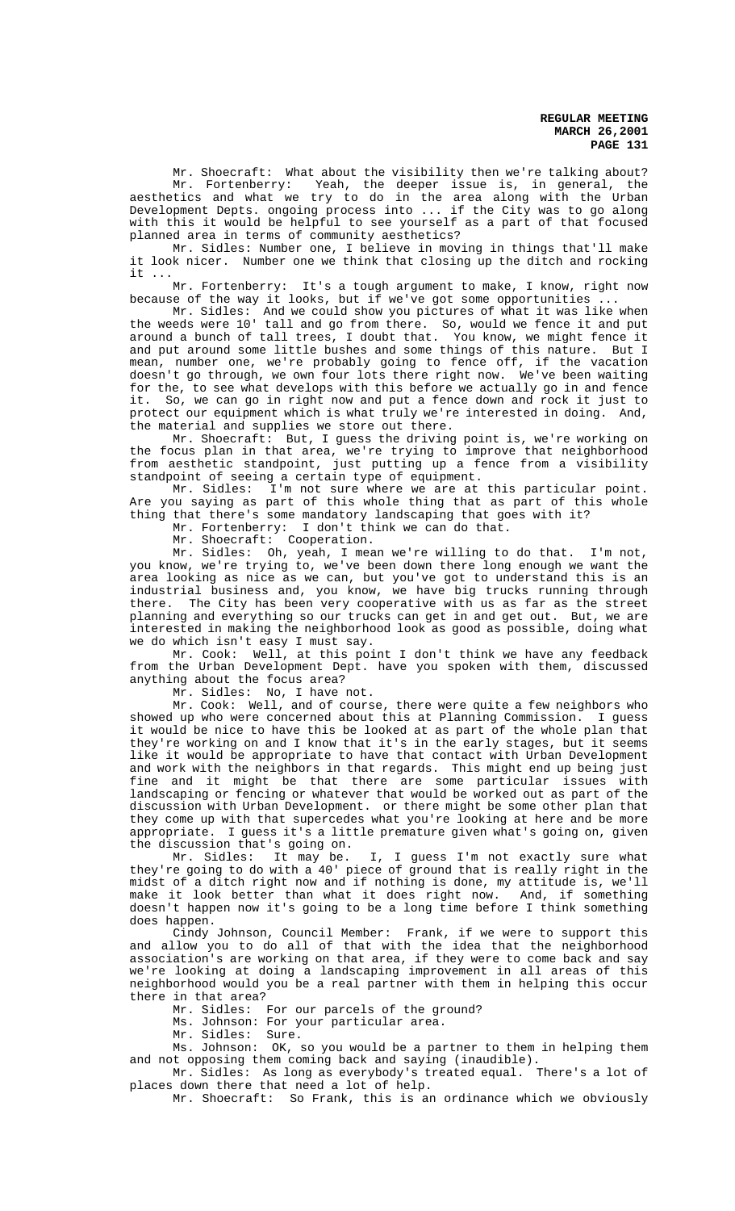Mr. Shoecraft: What about the visibility then we're talking about? Mr. Fortenberry: Yeah, the deeper issue is, in general, the aesthetics and what we try to do in the area along with the Urban Development Depts. ongoing process into ... if the City was to go along with this it would be helpful to see yourself as a part of that focused planned area in terms of community aesthetics?

Mr. Sidles: Number one, I believe in moving in things that'll make it look nicer. Number one we think that closing up the ditch and rocking it ...<br>Mr. Fortenberry:

It's a tough argument to make, I know, right now because of the way it looks, but if we've got some opportunities ...

Mr. Sidles: And we could show you pictures of what it was like when the weeds were 10' tall and go from there. So, would we fence it and put around a bunch of tall trees, I doubt that. You know, we might fence it and put around some little bushes and some things of this nature. But I mean, number one, we're probably going to fence off, if the vacation doesn't go through, we own four lots there right now. We've been waiting for the, to see what develops with this before we actually go in and fence it. So, we can go in right now and put a fence down and rock it just to protect our equipment which is what truly we're interested in doing. And, the material and supplies we store out there.

Mr. Shoecraft: But, I guess the driving point is, we're working on the focus plan in that area, we're trying to improve that neighborhood from aesthetic standpoint, just putting up a fence from a visibility standpoint of seeing a certain type of equipment.

Mr. Sidles: I'm not sure where we are at this particular point. Are you saying as part of this whole thing that as part of this whole thing that there's some mandatory landscaping that goes with it?

Mr. Fortenberry: I don't think we can do that.

Mr. Shoecraft: Cooperation.

Mr. Sidles: Oh, yeah, I mean we're willing to do that. I'm not, you know, we're trying to, we've been down there long enough we want the area looking as nice as we can, but you've got to understand this is an industrial business and, you know, we have big trucks running through there. The City has been very cooperative with us as far as the street planning and everything so our trucks can get in and get out. But, we are interested in making the neighborhood look as good as possible, doing what we do which isn't easy I must say.

Mr. Cook: Well, at this point I don't think we have any feedback from the Urban Development Dept. have you spoken with them, discussed anything about the focus area?

Mr. Sidles: No, I have not.

Mr. Cook: Well, and of course, there were quite a few neighbors who showed up who were concerned about this at Planning Commission. I guess it would be nice to have this be looked at as part of the whole plan that they're working on and I know that it's in the early stages, but it seems like it would be appropriate to have that contact with Urban Development and work with the neighbors in that regards. This might end up being just fine and it might be that there are some particular issues with landscaping or fencing or whatever that would be worked out as part of the discussion with Urban Development. or there might be some other plan that they come up with that supercedes what you're looking at here and be more appropriate. I guess it's a little premature given what's going on, given the discussion that's going on.<br>Mr. Sidles: It may be.

I, I guess I'm not exactly sure what they're going to do with a 40' piece of ground that is really right in the midst of a ditch right now and if nothing is done, my attitude is, we'll make it look better than what it does right now. And, if something doesn't happen now it's going to be a long time before I think something does happen.

Cindy Johnson, Council Member: Frank, if we were to support this and allow you to do all of that with the idea that the neighborhood association's are working on that area, if they were to come back and say we're looking at doing a landscaping improvement in all areas of this neighborhood would you be a real partner with them in helping this occur there in that area?

Mr. Sidles: For our parcels of the ground?

Ms. Johnson: For your particular area.

Mr. Sidles: Sure.

Ms. Johnson: OK, so you would be a partner to them in helping them and not opposing them coming back and saying (inaudible).<br>Mr. Sidles: As long as everybody's treated equal. There's a lot of

Mr. Sidles: As long as everybody's treated equal. places down there that need a lot of help.

Mr. Shoecraft: So Frank, this is an ordinance which we obviously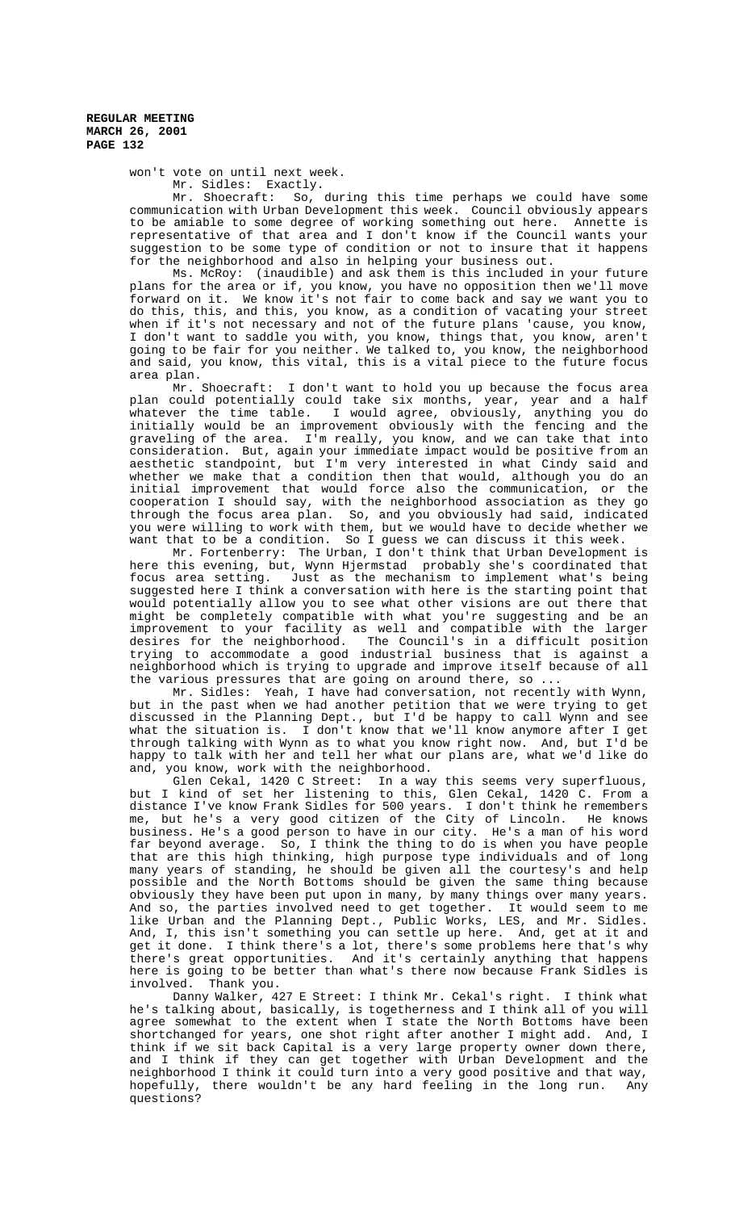won't vote on until next week. Mr. Sidles: Exactly.

Mr. Shoecraft: So, during this time perhaps we could have some communication with Urban Development this week. Council obviously appears to be amiable to some degree of working something out here. Annette is representative of that area and I don't know if the Council wants your suggestion to be some type of condition or not to insure that it happens for the neighborhood and also in helping your business out.

Ms. McRoy: (inaudible) and ask them is this included in your future plans for the area or if, you know, you have no opposition then we'll move forward on it. We know it's not fair to come back and say we want you to do this, this, and this, you know, as a condition of vacating your street when if it's not necessary and not of the future plans 'cause, you know, I don't want to saddle you with, you know, things that, you know, aren't going to be fair for you neither. We talked to, you know, the neighborhood and said, you know, this vital, this is a vital piece to the future focus area plan.

Mr. Shoecraft: I don't want to hold you up because the focus area plan could potentially could take six months, year, year and a half whatever the time table. I would agree, obviously, anything you do initially would be an improvement obviously with the fencing and the graveling of the area. I'm really, you know, and we can take that into consideration. But, again your immediate impact would be positive from an aesthetic standpoint, but I'm very interested in what Cindy said and whether we make that a condition then that would, although you do an initial improvement that would force also the communication, or the cooperation I should say, with the neighborhood association as they go through the focus area plan. So, and you obviously had said, indicated you were willing to work with them, but we would have to decide whether we want that to be a condition. So I guess we can discuss it this week.

Mr. Fortenberry: The Urban, I don't think that Urban Development is here this evening, but, Wynn Hjermstad probably she's coordinated that focus area setting. Just as the mechanism to implement what's being suggested here I think a conversation with here is the starting point that would potentially allow you to see what other visions are out there that might be completely compatible with what you're suggesting and be an improvement to your facility as well and compatible with the larger desires for the neighborhood. The Council's in a difficult position trying to accommodate a good industrial business that is against a neighborhood which is trying to upgrade and improve itself because of all the various pressures that are going on around there, so.

Mr. Sidles: Yeah, I have had conversation, not recently with Wynn, but in the past when we had another petition that we were trying to get discussed in the Planning Dept., but I'd be happy to call Wynn and see what the situation is. I don't know that we'll know anymore after I get through talking with Wynn as to what you know right now. And, but I'd be happy to talk with her and tell her what our plans are, what we'd like do and, you know, work with the neighborhood.

Glen Cekal, 1420 C Street: In a way this seems very superfluous, but I kind of set her listening to this, Glen Cekal, 1420 C. From a distance I've know Frank Sidles for 500 years. I don't think he remembers<br>me, but he's a very good citizen of the City of Lincoln. He knows me, but he's a very good citizen of the City of Lincoln. business. He's a good person to have in our city. He's a man of his word far beyond average. So, I think the thing to do is when you have people that are this high thinking, high purpose type individuals and of long many years of standing, he should be given all the courtesy's and help possible and the North Bottoms should be given the same thing because obviously they have been put upon in many, by many things over many years. And so, the parties involved need to get together. It would seem to me like Urban and the Planning Dept., Public Works, LES, and Mr. Sidles. And, I, this isn't something you can settle up here. And, get at it and get it done. I think there's a lot, there's some problems here that's why there's great opportunities. And it's certainly anything that happens here is going to be better than what's there now because Frank Sidles is involved. Thank you.

Danny Walker, 427 E Street: I think Mr. Cekal's right. I think what he's talking about, basically, is togetherness and I think all of you will agree somewhat to the extent when I state the North Bottoms have been shortchanged for years, one shot right after another I might add. And, I think if we sit back Capital is a very large property owner down there, and I think if they can get together with Urban Development and the neighborhood I think it could turn into a very good positive and that way, hopefully, there wouldn't be any hard feeling in the long run. Any questions?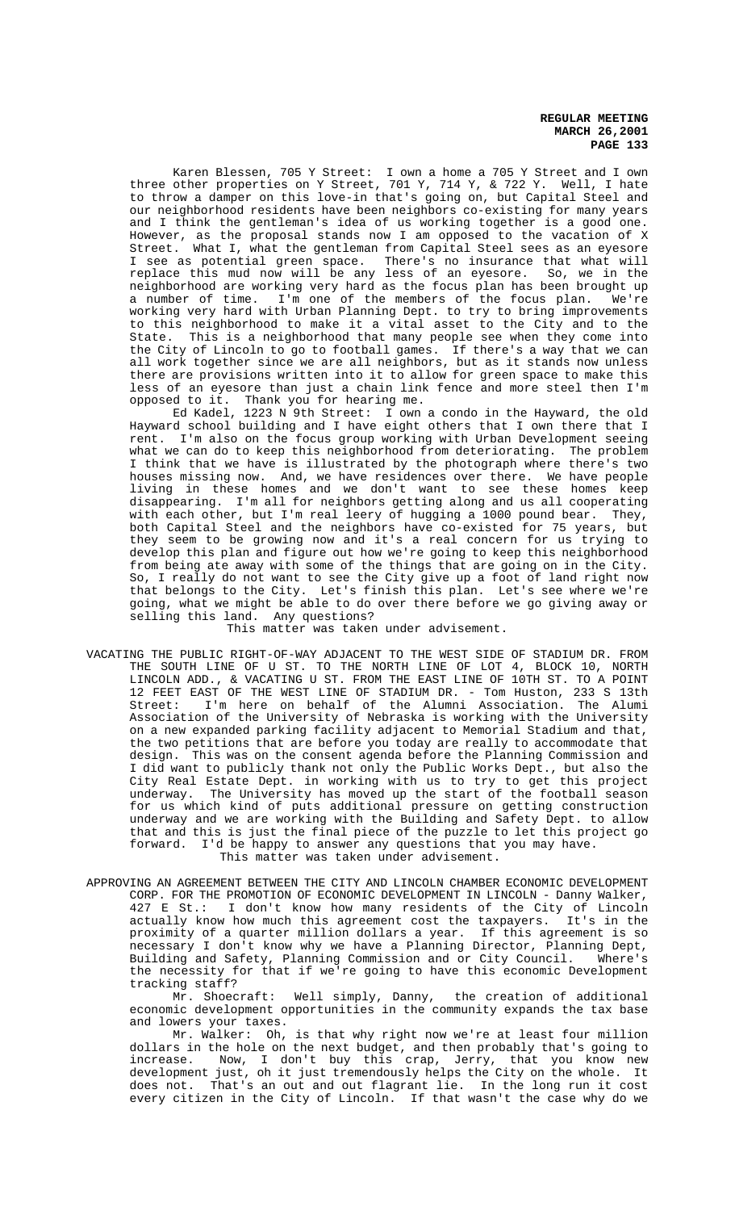Karen Blessen, 705 Y Street: I own a home a 705 Y Street and I own three other properties on Y Street, 701 Y, 714 Y, & 722 Y. Well, I hate to throw a damper on this love-in that's going on, but Capital Steel and our neighborhood residents have been neighbors co-existing for many years and I think the gentleman's idea of us working together is a good one. However, as the proposal stands now I am opposed to the vacation of X Street. What I, what the gentleman from Capital Steel sees as an eyesore I see as potential green space. There's no insurance that what will replace this mud now will be any less of an eyesore. So, we in the neighborhood are working very hard as the focus plan has been brought up a number of time. I'm one of the members of the focus plan. We're working very hard with Urban Planning Dept. to try to bring improvements to this neighborhood to make it a vital asset to the City and to the State. This is a neighborhood that many people see when they come into the City of Lincoln to go to football games. If there's a way that we can all work together since we are all neighbors, but as it stands now unless there are provisions written into it to allow for green space to make this less of an eyesore than just a chain link fence and more steel then I'm opposed to it. Thank you for hearing me.

Ed Kadel, 1223 N 9th Street: I own a condo in the Hayward, the old Hayward school building and I have eight others that I own there that I rent. I'm also on the focus group working with Urban Development seeing what we can do to keep this neighborhood from deteriorating. The problem I think that we have is illustrated by the photograph where there's two houses missing now. And, we have residences over there. We have people living in these homes and we don't want to see these homes keep disappearing. I'm all for neighbors getting along and us all cooperating with each other, but I'm real leery of hugging a 1000 pound bear. They, both Capital Steel and the neighbors have co-existed for 75 years, but they seem to be growing now and it's a real concern for us trying to develop this plan and figure out how we're going to keep this neighborhood from being ate away with some of the things that are going on in the City. So, I really do not want to see the City give up a foot of land right now that belongs to the City. Let's finish this plan. Let's see where we're going, what we might be able to do over there before we go giving away or selling this land. Any questions?

This matter was taken under advisement.

- VACATING THE PUBLIC RIGHT-OF-WAY ADJACENT TO THE WEST SIDE OF STADIUM DR. FROM THE SOUTH LINE OF U ST. TO THE NORTH LINE OF LOT 4, BLOCK 10, NORTH LINCOLN ADD., & VACATING U ST. FROM THE EAST LINE OF 10TH ST. TO A POINT 12 FEET EAST OF THE WEST LINE OF STADIUM DR. - Tom Huston, 233 S 13th Street: I'm here on behalf of the Alumni Association. The Alumi Association of the University of Nebraska is working with the University on a new expanded parking facility adjacent to Memorial Stadium and that, the two petitions that are before you today are really to accommodate that design. This was on the consent agenda before the Planning Commission and I did want to publicly thank not only the Public Works Dept., but also the City Real Estate Dept. in working with us to try to get this project underway. The University has moved up the start of the football season for us which kind of puts additional pressure on getting construction underway and we are working with the Building and Safety Dept. to allow that and this is just the final piece of the puzzle to let this project go forward. I'd be happy to answer any questions that you may have. This matter was taken under advisement.
- APPROVING AN AGREEMENT BETWEEN THE CITY AND LINCOLN CHAMBER ECONOMIC DEVELOPMENT CORP. FOR THE PROMOTION OF ECONOMIC DEVELOPMENT IN LINCOLN - Danny Walker, 427 E St.: I don't know how many residents of the City of Lincoln actually know how much this agreement cost the taxpayers. It's in the proximity of a quarter million dollars a year. If this agreement is so necessary I don't know why we have a Planning Director, Planning Dept, Building and Safety, Planning Commission and or City Council. Where's the necessity for that if we're going to have this economic Development tracking staff?

Mr. Shoecraft: Well simply, Danny, the creation of additional economic development opportunities in the community expands the tax base and lowers your taxes.

Mr. Walker: Oh, is that why right now we're at least four million dollars in the hole on the next budget, and then probably that's going to increase. Now, I don't buy this crap, Jerry, that you know new development just, oh it just tremendously helps the City on the whole. It does not. That's an out and out flagrant lie. In the long run it cost every citizen in the City of Lincoln. If that wasn't the case why do we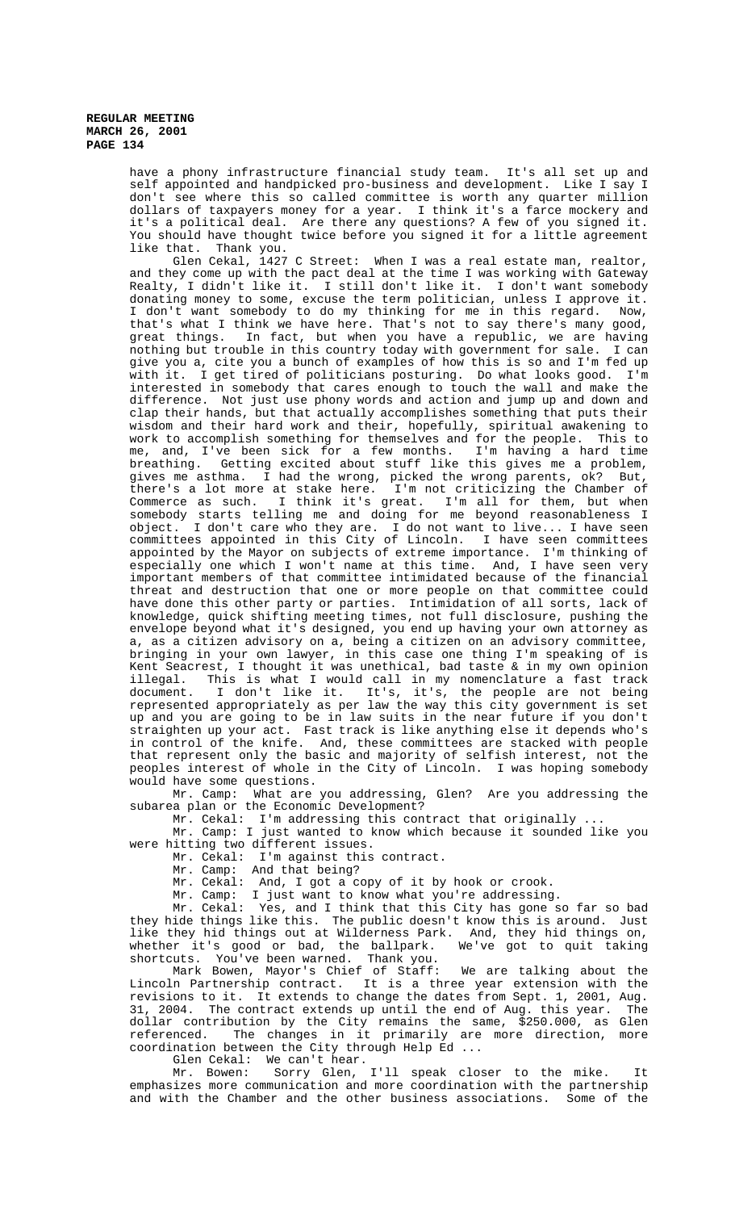have a phony infrastructure financial study team. It's all set up and self appointed and handpicked pro-business and development. Like I say I don't see where this so called committee is worth any quarter million dollars of taxpayers money for a year. I think it's a farce mockery and it's a political deal. Are there any questions? A few of you signed it. You should have thought twice before you signed it for a little agreement like that. Thank you.

Glen Cekal, 1427 C Street: When I was a real estate man, realtor, and they come up with the pact deal at the time I was working with Gateway Realty, I didn't like it. I still don't like it. I don't want somebody donating money to some, excuse the term politician, unless I approve it. I don't want somebody to do my thinking for me in this regard. Now, that's what I think we have here. That's not to say there's many good, great things. In fact, but when you have a republic, we are having nothing but trouble in this country today with government for sale. I can give you a, cite you a bunch of examples of how this is so and I'm fed up with it. I get tired of politicians posturing. Do what looks good. I'm interested in somebody that cares enough to touch the wall and make the difference. Not just use phony words and action and jump up and down and clap their hands, but that actually accomplishes something that puts their wisdom and their hard work and their, hopefully, spiritual awakening to work to accomplish something for themselves and for the people. This to<br>me, and, I've been sick for a few months. I'm having a hard time me, and, I've been sick for a few months. breathing. Getting excited about stuff like this gives me a problem, gives me asthma. I had the wrong, picked the wrong parents, ok? But, there's a lot more at stake here. I'm not criticizing the Chamber of Commerce as such. I think it's great. I'm all for them, but when somebody starts telling me and doing for me beyond reasonableness I object. I don't care who they are. I do not want to live... I have seen committees appointed in this City of Lincoln. I have seen committees appointed by the Mayor on subjects of extreme importance. I'm thinking of especially one which I won't name at this time. And, I have seen very important members of that committee intimidated because of the financial threat and destruction that one or more people on that committee could have done this other party or parties. Intimidation of all sorts, lack of knowledge, quick shifting meeting times, not full disclosure, pushing the envelope beyond what it's designed, you end up having your own attorney as a, as a citizen advisory on a, being a citizen on an advisory committee, bringing in your own lawyer, in this case one thing I'm speaking of is Kent Seacrest, I thought it was unethical, bad taste & in my own opinion illegal. This is what I would call in my nomenclature a fast track document. I don't like it. It's, it's, the people are not being represented appropriately as per law the way this city government is set up and you are going to be in law suits in the near future if you don't straighten up your act. Fast track is like anything else it depends who's in control of the knife. And, these committees are stacked with people that represent only the basic and majority of selfish interest, not the peoples interest of whole in the City of Lincoln. I was hoping somebody

would have some questions.<br>Mr. Camp: What are What are you addressing, Glen? Are you addressing the subarea plan or the Economic Development?

Mr. Cekal: I'm addressing this contract that originally.

Mr. Camp: I just wanted to know which because it sounded like you were hitting two different issues.

Mr. Cekal: I'm against this contract.

Mr. Camp: And that being?

Mr. Cekal: And, I got a copy of it by hook or crook.

Mr. Camp: I just want to know what you're addressing.

Mr. Cekal: Yes, and I think that this City has gone so far so bad they hide things like this. The public doesn't know this is around. Just like they hid things out at Wilderness Park. And, they hid things on, whether it's good or bad, the ballpark. We've got to quit taking shortcuts. You've been warned. Thank you.

Mark Bowen, Mayor's Chief of Staff: We are talking about the Lincoln Partnership contract. It is a three year extension with the revisions to it. It extends to change the dates from Sept. 1, 2001, Aug. 31, 2004. The contract extends up until the end of Aug. this year. The dollar contribution by the City remains the same, \$250.000, as Glen referenced. The changes in it primarily are more direction, more coordination between the City through Help Ed ...

Glen Cekal: We can't hear.

Mr. Bowen: Sorry Glen, I'll speak closer to the mike. It emphasizes more communication and more coordination with the partnership and with the Chamber and the other business associations. Some of the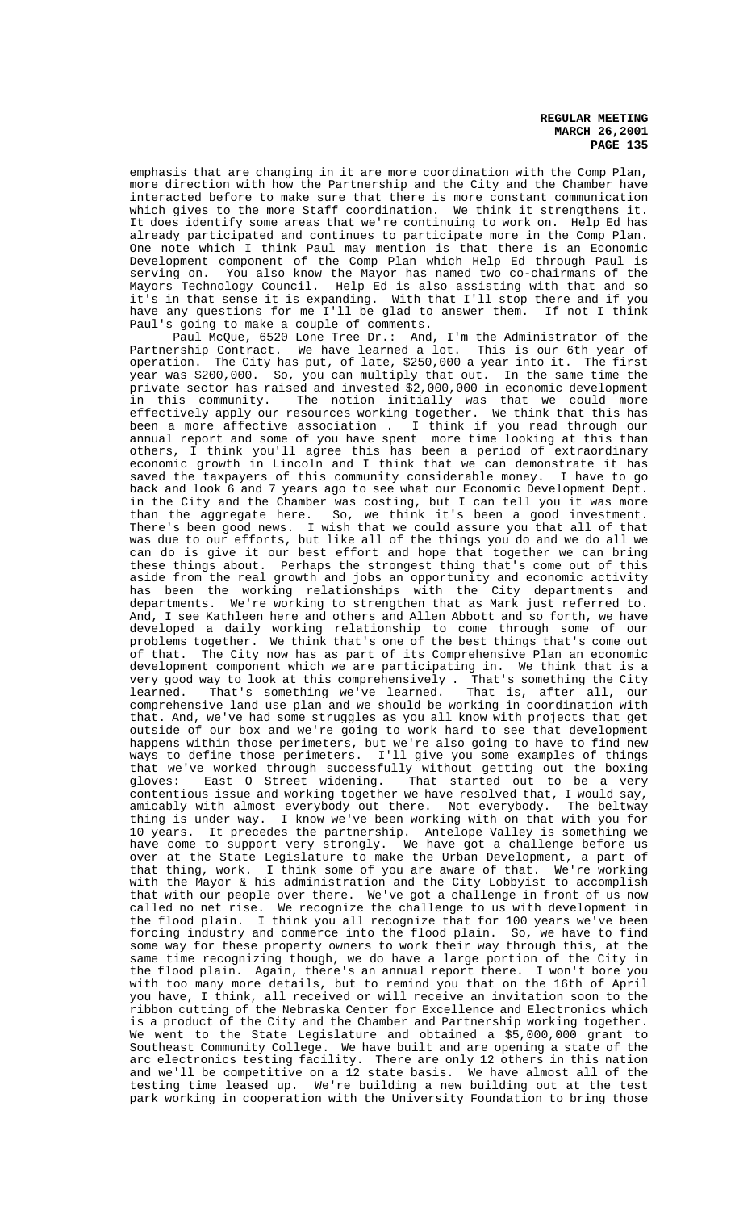emphasis that are changing in it are more coordination with the Comp Plan, more direction with how the Partnership and the City and the Chamber have interacted before to make sure that there is more constant communication which gives to the more Staff coordination. We think it strengthens it. It does identify some areas that we're continuing to work on. Help Ed has already participated and continues to participate more in the Comp Plan. One note which I think Paul may mention is that there is an Economic Development component of the Comp Plan which Help Ed through Paul is serving on. You also know the Mayor has named two co-chairmans of the Mayors Technology Council. Help Ed is also assisting with that and so it's in that sense it is expanding. With that I'll stop there and if you have any questions for me I'll be glad to answer them. If not I think Paul's going to make a couple of comments.

Paul McQue, 6520 Lone Tree Dr.: And, I'm the Administrator of the Partnership Contract. We have learned a lot. This is our 6th year of operation. The City has put, of late, \$250,000 a year into it. The first year was \$200,000. So, you can multiply that out. In the same time the private sector has raised and invested \$2,000,000 in economic development in this community. The notion initially was that we could more effectively apply our resources working together. We think that this has been a more affective association . I think if you read through our annual report and some of you have spent more time looking at this than others, I think you'll agree this has been a period of extraordinary economic growth in Lincoln and I think that we can demonstrate it has saved the taxpayers of this community considerable money. I have to go back and look 6 and 7 years ago to see what our Economic Development Dept. in the City and the Chamber was costing, but I can tell you it was more than the aggregate here. So, we think it's been a good investment. There's been good news. I wish that we could assure you that all of that was due to our efforts, but like all of the things you do and we do all we can do is give it our best effort and hope that together we can bring these things about. Perhaps the strongest thing that's come out of this aside from the real growth and jobs an opportunity and economic activity has been the working relationships with the City departments and departments. We're working to strengthen that as Mark just referred to. And, I see Kathleen here and others and Allen Abbott and so forth, we have developed a daily working relationship to come through some of our problems together. We think that's one of the best things that's come out of that. The City now has as part of its Comprehensive Plan an economic development component which we are participating in. We think that is a very good way to look at this comprehensively . That's something the City learned. That's something we've learned. That is, after all, our learned. That's something we've learned. That is, after all, our<br>comprehensive land use plan and we should be working in coordination with that. And, we've had some struggles as you all know with projects that get outside of our box and we're going to work hard to see that development happens within those perimeters, but we're also going to have to find new ways to define those perimeters. I'll give you some examples of things that we've worked through successfully without getting out the boxing gloves: East O Street widening. That started out to be a very contentious issue and working together we have resolved that, I would say, amicably with almost everybody out there. Not everybody. The beltway thing is under way. I know we've been working with on that with you for 10 years. It precedes the partnership. Antelope Valley is something we have come to support very strongly. We have got a challenge before us over at the State Legislature to make the Urban Development, a part of that thing, work. I think some of you are aware of that. We're working with the Mayor & his administration and the City Lobbyist to accomplish that with our people over there. We've got a challenge in front of us now called no net rise. We recognize the challenge to us with development in the flood plain. I think you all recognize that for 100 years we've been forcing industry and commerce into the flood plain. So, we have to find some way for these property owners to work their way through this, at the same time recognizing though, we do have a large portion of the City in the flood plain. Again, there's an annual report there. I won't bore you with too many more details, but to remind you that on the 16th of April you have, I think, all received or will receive an invitation soon to the ribbon cutting of the Nebraska Center for Excellence and Electronics which is a product of the City and the Chamber and Partnership working together. We went to the State Legislature and obtained a \$5,000,000 grant to Southeast Community College. We have built and are opening a state of the arc electronics testing facility. There are only 12 others in this nation and we'll be competitive on a 12 state basis. We have almost all of the testing time leased up. We're building a new building out at the test park working in cooperation with the University Foundation to bring those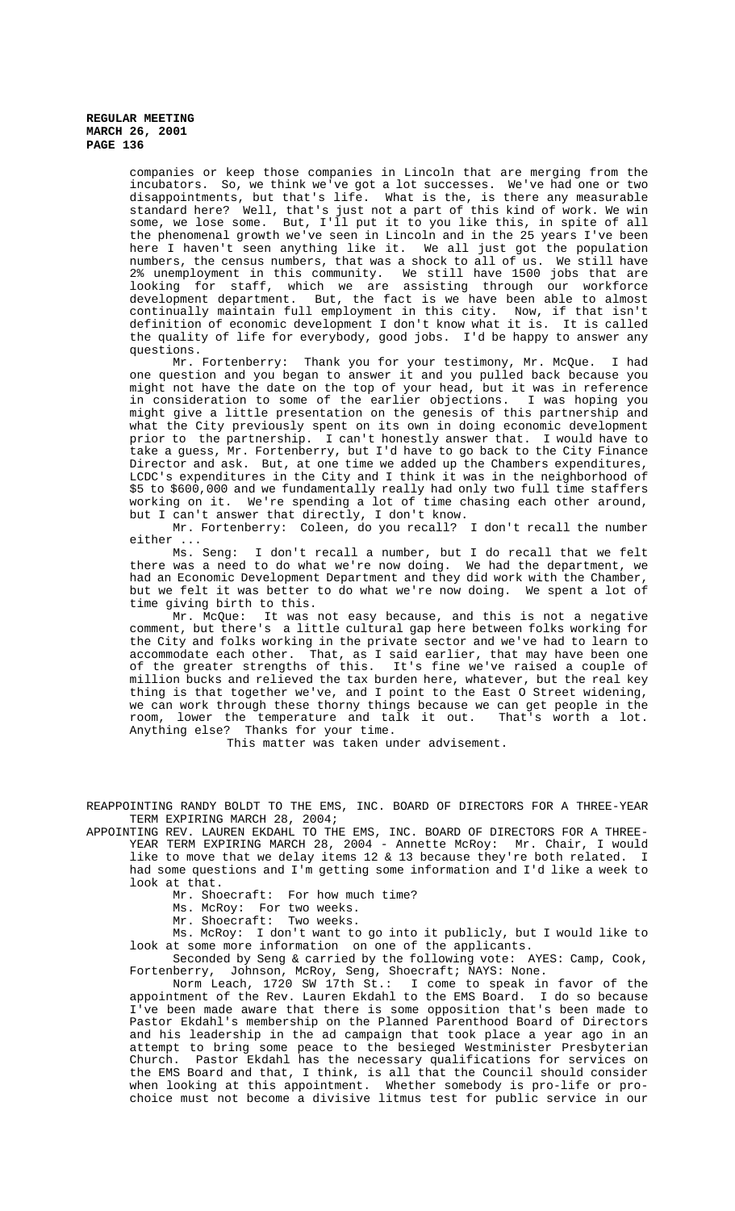companies or keep those companies in Lincoln that are merging from the incubators. So, we think we've got a lot successes. We've had one or two disappointments, but that's life. What is the, is there any measurable standard here? Well, that's just not a part of this kind of work. We win some, we lose some. But, I'll put it to you like this, in spite of all the phenomenal growth we've seen in Lincoln and in the 25 years I've been here I haven't seen anything like it. We all just got the population numbers, the census numbers, that was a shock to all of us. We still have 2% unemployment in this community. We still have 1500 jobs that are looking for staff, which we are assisting through our workforce development department. But, the fact is we have been able to almost continually maintain full employment in this city. Now, if that isn't definition of economic development I don't know what it is. It is called the quality of life for everybody, good jobs. I'd be happy to answer any questions.

Mr. Fortenberry: Thank you for your testimony, Mr. McQue. I had one question and you began to answer it and you pulled back because you might not have the date on the top of your head, but it was in reference in consideration to some of the earlier objections. I was hoping you might give a little presentation on the genesis of this partnership and what the City previously spent on its own in doing economic development prior to the partnership. I can't honestly answer that. I would have to take a guess, Mr. Fortenberry, but I'd have to go back to the City Finance Director and ask. But, at one time we added up the Chambers expenditures, LCDC's expenditures in the City and I think it was in the neighborhood of \$5 to \$600,000 and we fundamentally really had only two full time staffers working on it. We're spending a lot of time chasing each other around, but I can't answer that directly, I don't know.

Mr. Fortenberry: Coleen, do you recall? I don't recall the number either ...

Ms. Seng: I don't recall a number, but I do recall that we felt there was a need to do what we're now doing. We had the department, we had an Economic Development Department and they did work with the Chamber, but we felt it was better to do what we're now doing. We spent a lot of time giving birth to this.

Mr. McQue: It was not easy because, and this is not a negative comment, but there's a little cultural gap here between folks working for the City and folks working in the private sector and we've had to learn to accommodate each other. That, as I said earlier, that may have been one of the greater strengths of this. It's fine we've raised a couple of million bucks and relieved the tax burden here, whatever, but the real key thing is that together we've, and I point to the East O Street widening, we can work through these thorny things because we can get people in the room, lower the temperature and talk it out. That's worth a lot. Anything else? Thanks for your time.

This matter was taken under advisement.

REAPPOINTING RANDY BOLDT TO THE EMS, INC. BOARD OF DIRECTORS FOR A THREE-YEAR TERM EXPIRING MARCH 28, 2004;

APPOINTING REV. LAUREN EKDAHL TO THE EMS, INC. BOARD OF DIRECTORS FOR A THREE-YEAR TERM EXPIRING MARCH 28, 2004 - Annette McRoy: Mr. Chair, I would like to move that we delay items 12 & 13 because they're both related. I had some questions and I'm getting some information and I'd like a week to look at that.

Mr. Shoecraft: For how much time?

Ms. McRoy: For two weeks.

Mr. Shoecraft: Two weeks.

Ms. McRoy: I don't want to go into it publicly, but I would like to look at some more information on one of the applicants.

Seconded by Seng & carried by the following vote: AYES: Camp, Cook, Fortenberry, Johnson, McRoy, Seng, Shoecraft; NAYS: None.

Norm Leach, 1720 SW 17th St.: I come to speak in favor of the appointment of the Rev. Lauren Ekdahl to the EMS Board. I do so because I've been made aware that there is some opposition that's been made to Pastor Ekdahl's membership on the Planned Parenthood Board of Directors and his leadership in the ad campaign that took place a year ago in an attempt to bring some peace to the besieged Westminister Presbyterian Church. Pastor Ekdahl has the necessary qualifications for services on the EMS Board and that, I think, is all that the Council should consider when looking at this appointment. Whether somebody is pro-life or prochoice must not become a divisive litmus test for public service in our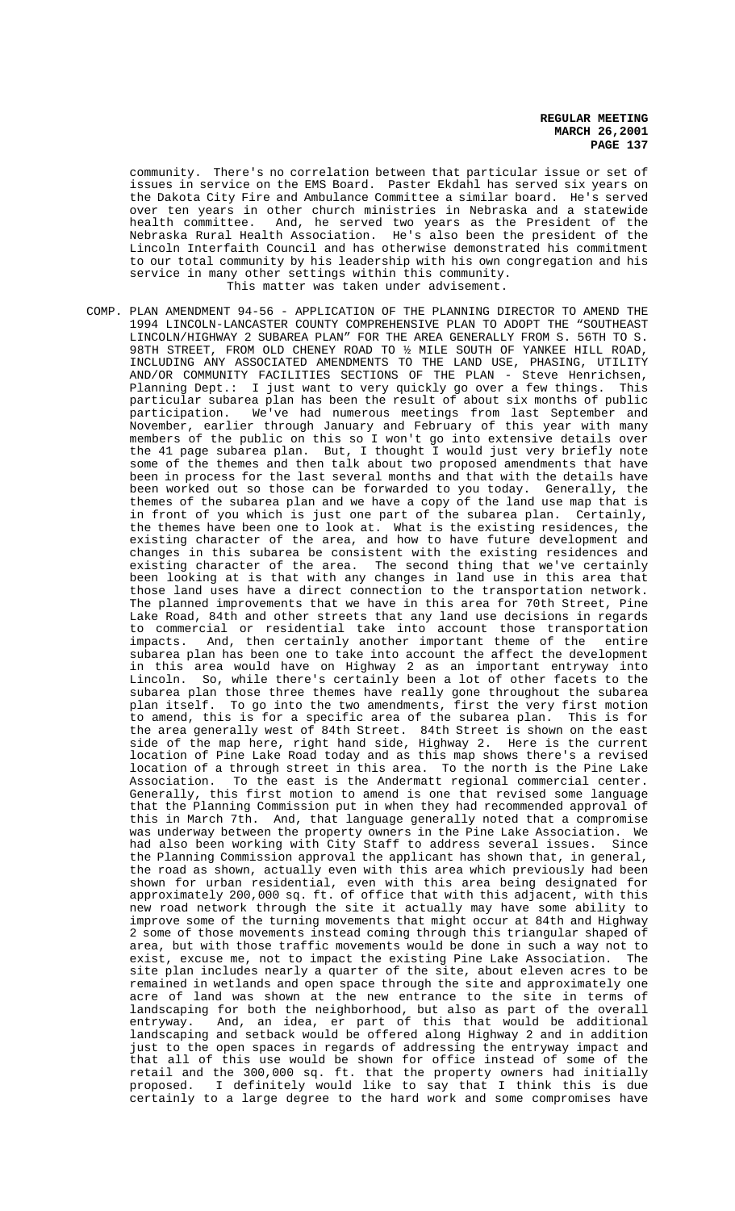community. There's no correlation between that particular issue or set of issues in service on the EMS Board. Paster Ekdahl has served six years on the Dakota City Fire and Ambulance Committee a similar board. He's served over ten years in other church ministries in Nebraska and a statewide health committee. And, he served two years as the President of the Nebraska Rural Health Association. He's also been the president of the Lincoln Interfaith Council and has otherwise demonstrated his commitment to our total community by his leadership with his own congregation and his service in many other settings within this community. This matter was taken under advisement.

COMP. PLAN AMENDMENT 94-56 - APPLICATION OF THE PLANNING DIRECTOR TO AMEND THE 1994 LINCOLN-LANCASTER COUNTY COMPREHENSIVE PLAN TO ADOPT THE "SOUTHEAST LINCOLN/HIGHWAY 2 SUBAREA PLAN" FOR THE AREA GENERALLY FROM S. 56TH TO S. 98TH STREET, FROM OLD CHENEY ROAD TO ½ MILE SOUTH OF YANKEE HILL ROAD, INCLUDING ANY ASSOCIATED AMENDMENTS TO THE LAND USE, PHASING, UTILITY AND/OR COMMUNITY FACILITIES SECTIONS OF THE PLAN - Steve Henrichsen, Planning Dept.: I just want to very quickly go over a few things. This particular subarea plan has been the result of about six months of public participation. We've had numerous meetings from last September and November, earlier through January and February of this year with many members of the public on this so I won't go into extensive details over the 41 page subarea plan. But, I thought I would just very briefly note some of the themes and then talk about two proposed amendments that have been in process for the last several months and that with the details have been worked out so those can be forwarded to you today. Generally, the themes of the subarea plan and we have a copy of the land use map that is in front of you which is just one part of the subarea plan. Certainly, the themes have been one to look at. What is the existing residences, the existing character of the area, and how to have future development and changes in this subarea be consistent with the existing residences and existing character of the area. The second thing that we've certainly been looking at is that with any changes in land use in this area that those land uses have a direct connection to the transportation network. The planned improvements that we have in this area for 70th Street, Pine Lake Road, 84th and other streets that any land use decisions in regards to commercial or residential take into account those transportation impacts. And, then certainly another important theme of the entire subarea plan has been one to take into account the affect the development in this area would have on Highway 2 as an important entryway into Lincoln. So, while there's certainly been a lot of other facets to the subarea plan those three themes have really gone throughout the subarea plan itself. To go into the two amendments, first the very first motion to amend, this is for a specific area of the subarea plan. This is for the area generally west of 84th Street. 84th Street is shown on the east side of the map here, right hand side, Highway 2. Here is the current location of Pine Lake Road today and as this map shows there's a revised location of a through street in this area. To the north is the Pine Lake Association. To the east is the Andermatt regional commercial center. Generally, this first motion to amend is one that revised some language that the Planning Commission put in when they had recommended approval of this in March 7th. And, that language generally noted that a compromise was underway between the property owners in the Pine Lake Association. We had also been working with City Staff to address several issues. Since the Planning Commission approval the applicant has shown that, in general, the road as shown, actually even with this area which previously had been shown for urban residential, even with this area being designated for approximately 200,000 sq. ft. of office that with this adjacent, with this new road network through the site it actually may have some ability to improve some of the turning movements that might occur at 84th and Highway 2 some of those movements instead coming through this triangular shaped of area, but with those traffic movements would be done in such a way not to exist, excuse me, not to impact the existing Pine Lake Association. The site plan includes nearly a quarter of the site, about eleven acres to be remained in wetlands and open space through the site and approximately one acre of land was shown at the new entrance to the site in terms of landscaping for both the neighborhood, but also as part of the overall entryway. And, an idea, er part of this that would be additional landscaping and setback would be offered along Highway 2 and in addition just to the open spaces in regards of addressing the entryway impact and that all of this use would be shown for office instead of some of the retail and the 300,000 sq. ft. that the property owners had initially proposed. I definitely would like to say that I think this is due certainly to a large degree to the hard work and some compromises have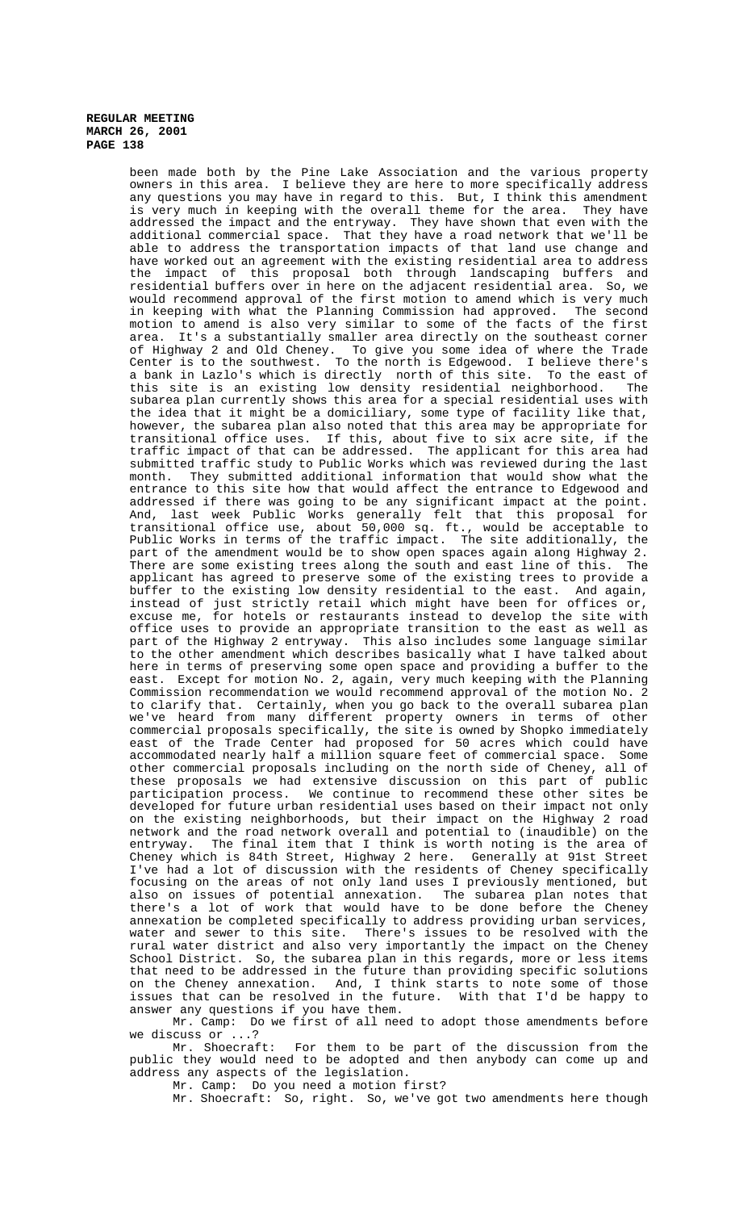been made both by the Pine Lake Association and the various property owners in this area. I believe they are here to more specifically address any questions you may have in regard to this. But, I think this amendment is very much in keeping with the overall theme for the area. They have addressed the impact and the entryway. They have shown that even with the additional commercial space. That they have a road network that we'll be able to address the transportation impacts of that land use change and have worked out an agreement with the existing residential area to address the impact of this proposal both through landscaping buffers and residential buffers over in here on the adjacent residential area. So, we would recommend approval of the first motion to amend which is very much in keeping with what the Planning Commission had approved. The second motion to amend is also very similar to some of the facts of the first area. It's a substantially smaller area directly on the southeast corner of Highway 2 and Old Cheney. To give you some idea of where the Trade Center is to the southwest. To the north is Edgewood. I believe there's a bank in Lazlo's which is directly north of this site. To the east of this site is an existing low density residential neighborhood. The subarea plan currently shows this area for a special residential uses with the idea that it might be a domiciliary, some type of facility like that, however, the subarea plan also noted that this area may be appropriate for transitional office uses. If this, about five to six acre site, if the traffic impact of that can be addressed. The applicant for this area had submitted traffic study to Public Works which was reviewed during the last month. They submitted additional information that would show what the entrance to this site how that would affect the entrance to Edgewood and addressed if there was going to be any significant impact at the point. And, last week Public Works generally felt that this proposal for transitional office use, about 50,000 sq. ft., would be acceptable to Public Works in terms of the traffic impact. The site additionally, the part of the amendment would be to show open spaces again along Highway 2. There are some existing trees along the south and east line of this. The applicant has agreed to preserve some of the existing trees to provide a buffer to the existing low density residential to the east. And again, instead of just strictly retail which might have been for offices or, excuse me, for hotels or restaurants instead to develop the site with office uses to provide an appropriate transition to the east as well as part of the Highway 2 entryway. This also includes some language similar to the other amendment which describes basically what I have talked about here in terms of preserving some open space and providing a buffer to the east. Except for motion No. 2, again, very much keeping with the Planning Commission recommendation we would recommend approval of the motion No. 2 to clarify that. Certainly, when you go back to the overall subarea plan we've heard from many different property owners in terms of other commercial proposals specifically, the site is owned by Shopko immediately east of the Trade Center had proposed for 50 acres which could have accommodated nearly half a million square feet of commercial space. Some other commercial proposals including on the north side of Cheney, all of these proposals we had extensive discussion on this part of public participation process. We continue to recommend these other sites be developed for future urban residential uses based on their impact not only on the existing neighborhoods, but their impact on the Highway 2 road network and the road network overall and potential to (inaudible) on the entryway. The final item that I think is worth noting is the area of Cheney which is 84th Street, Highway 2 here. Generally at 91st Street I've had a lot of discussion with the residents of Cheney specifically focusing on the areas of not only land uses I previously mentioned, but also on issues of potential annexation. The subarea plan notes that there's a lot of work that would have to be done before the Cheney annexation be completed specifically to address providing urban services, water and sewer to this site. There's issues to be resolved with the rural water district and also very importantly the impact on the Cheney School District. So, the subarea plan in this regards, more or less items that need to be addressed in the future than providing specific solutions on the Cheney annexation. And, I think starts to note some of those issues that can be resolved in the future. With that I'd be happy to answer any questions if you have them.

Mr. Camp: Do we first of all need to adopt those amendments before we discuss or ...?

Mr. Shoecraft: For them to be part of the discussion from the public they would need to be adopted and then anybody can come up and address any aspects of the legislation.

Mr. Camp: Do you need a motion first?

Mr. Shoecraft: So, right. So, we've got two amendments here though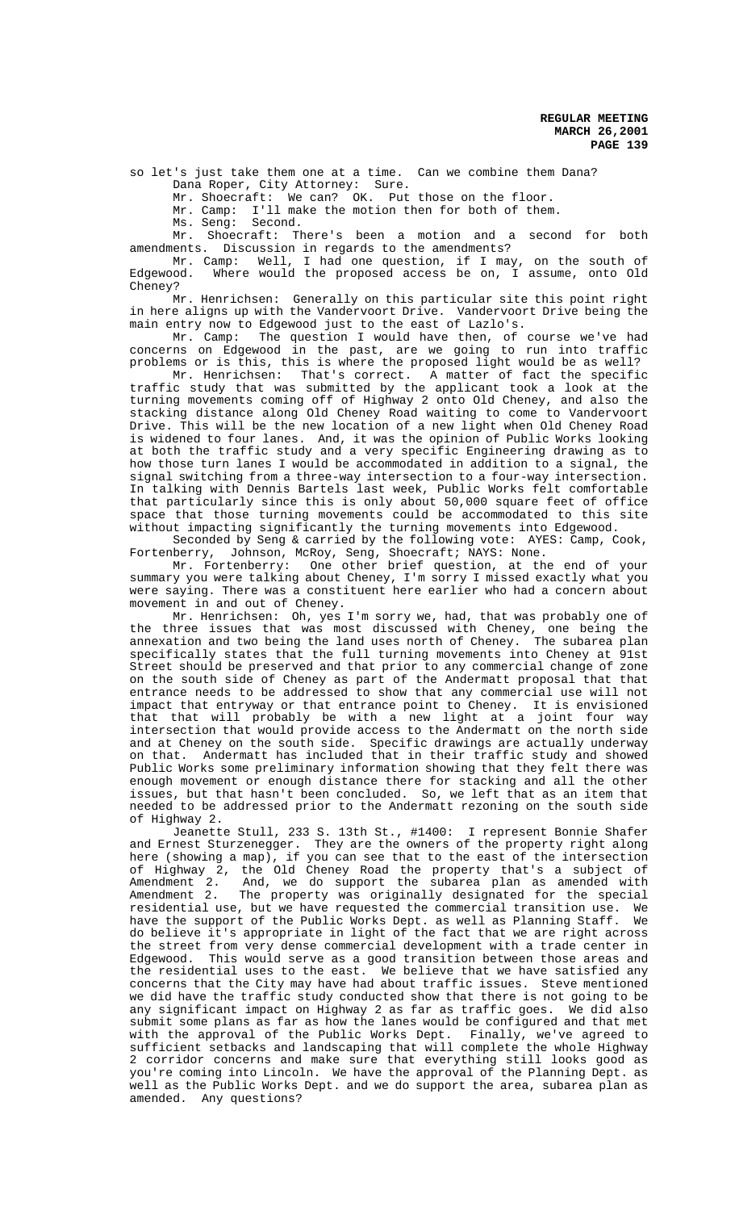so let's just take them one at a time. Can we combine them Dana? Dana Roper, City Attorney: Sure.

Mr. Shoecraft: We can? OK. Put those on the floor.

Mr. Camp: I'll make the motion then for both of them.

Ms. Seng: Second.

Mr. Shoecraft: There's been a motion and a second for both amendments. Discussion in regards to the amendments?

Mr. Camp: Well, I had one question, if I may, on the south of Edgewood. Where would the proposed access be on, I assume, onto Old Cheney?

Mr. Henrichsen: Generally on this particular site this point right in here aligns up with the Vandervoort Drive. Vandervoort Drive being the main entry now to Edgewood just to the east of Lazlo's.

Mr. Camp: The question I would have then, of course we've had concerns on Edgewood in the past, are we going to run into traffic problems or is this, this is where the proposed light would be as well?

Mr. Henrichsen: That's correct. A matter of fact the specific traffic study that was submitted by the applicant took a look at the turning movements coming off of Highway 2 onto Old Cheney, and also the stacking distance along Old Cheney Road waiting to come to Vandervoort Drive. This will be the new location of a new light when Old Cheney Road is widened to four lanes. And, it was the opinion of Public Works looking at both the traffic study and a very specific Engineering drawing as to how those turn lanes I would be accommodated in addition to a signal, the signal switching from a three-way intersection to a four-way intersection. In talking with Dennis Bartels last week, Public Works felt comfortable that particularly since this is only about 50,000 square feet of office space that those turning movements could be accommodated to this site without impacting significantly the turning movements into Edgewood.

Seconded by Seng & carried by the following vote: AYES: Camp, Cook, Fortenberry, Johnson, McRoy, Seng, Shoecraft; NAYS: None.

Mr. Fortenberry: One other brief question, at the end of your summary you were talking about Cheney, I'm sorry I missed exactly what you were saying. There was a constituent here earlier who had a concern about movement in and out of Cheney.

Mr. Henrichsen: Oh, yes I'm sorry we, had, that was probably one of the three issues that was most discussed with Cheney, one being the<br>annexation and two being the land uses north of Cheney. The subarea plan annexation and two being the land uses north of Cheney. specifically states that the full turning movements into Cheney at 91st Street should be preserved and that prior to any commercial change of zone on the south side of Cheney as part of the Andermatt proposal that that entrance needs to be addressed to show that any commercial use will not impact that entryway or that entrance point to Cheney. It is envisioned that that will probably be with a new light at a joint four way intersection that would provide access to the Andermatt on the north side and at Cheney on the south side. Specific drawings are actually underway on that. Andermatt has included that in their traffic study and showed Public Works some preliminary information showing that they felt there was enough movement or enough distance there for stacking and all the other issues, but that hasn't been concluded. So, we left that as an item that needed to be addressed prior to the Andermatt rezoning on the south side of Highway 2.

Jeanette Stull, 233 S. 13th St., #1400: I represent Bonnie Shafer and Ernest Sturzenegger. They are the owners of the property right along here (showing a map), if you can see that to the east of the intersection of Highway 2, the Old Cheney Road the property that's a subject of<br>Amendment 2. And, we do support the subarea plan as amended with<br>Amendment 2. The property was originally designated for the special And, we do support the subarea plan as amended with The property was originally designated for the special<br>e, but we have requested the commercial transition use. We residential use, but we have requested the commercial transition use. We<br>have the support of the Public Works Dept, as well as Planning Staff. We have the support of the Public Works Dept. as well as Planning Staff. do believe it's appropriate in light of the fact that we are right across the street from very dense commercial development with a trade center in Edgewood. This would serve as a good transition between those areas and the residential uses to the east. We believe that we have satisfied any concerns that the City may have had about traffic issues. Steve mentioned we did have the traffic study conducted show that there is not going to be any significant impact on Highway 2 as far as traffic goes. We did also submit some plans as far as how the lanes would be configured and that met with the approval of the Public Works Dept. Finally, we've agreed to sufficient setbacks and landscaping that will complete the whole Highway 2 corridor concerns and make sure that everything still looks good as you're coming into Lincoln. We have the approval of the Planning Dept. as well as the Public Works Dept. and we do support the area, subarea plan as amended. Any questions?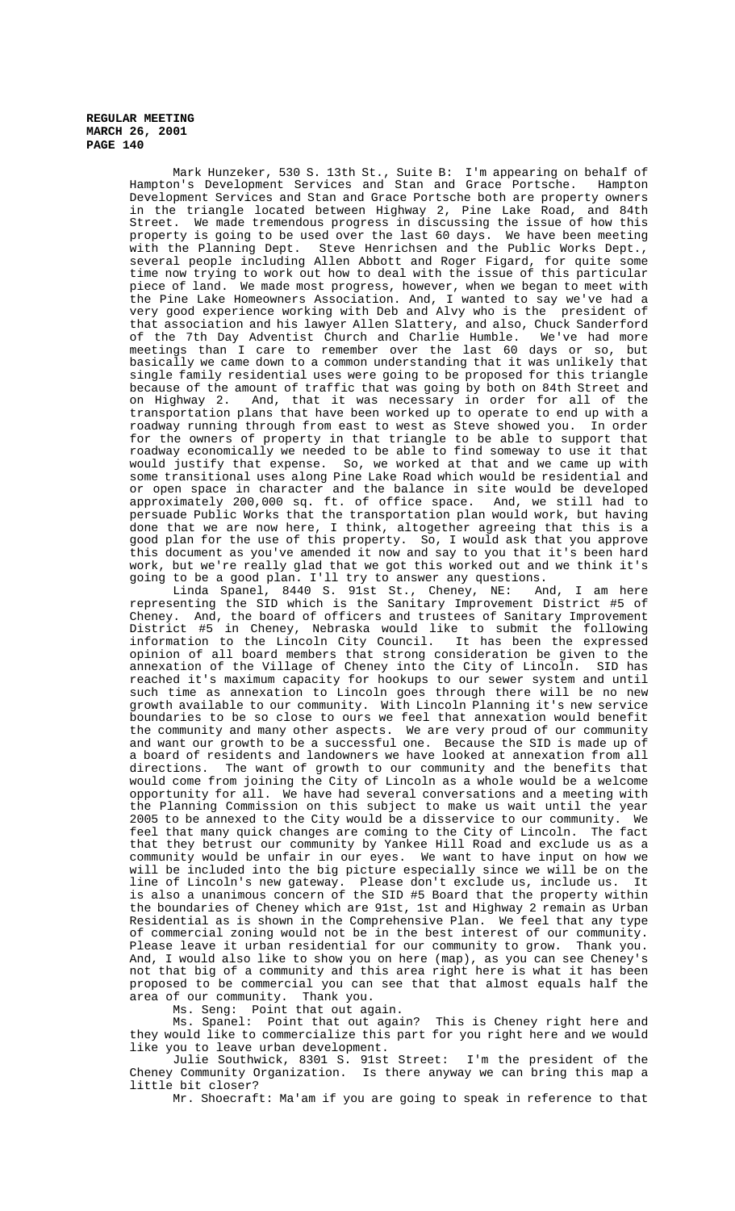Mark Hunzeker, 530 S. 13th St., Suite B: I'm appearing on behalf of Hampton's Development Services and Stan and Grace Portsche. Hampton Development Services and Stan and Grace Portsche both are property owners in the triangle located between Highway 2, Pine Lake Road, and 84th Street. We made tremendous progress in discussing the issue of how this property is going to be used over the last 60 days. We have been meeting with the Planning Dept. Steve Henrichsen and the Public Works Dept., several people including Allen Abbott and Roger Figard, for quite some time now trying to work out how to deal with the issue of this particular piece of land. We made most progress, however, when we began to meet with the Pine Lake Homeowners Association. And, I wanted to say we've had a very good experience working with Deb and Alvy who is the president of that association and his lawyer Allen Slattery, and also, Chuck Sanderford of the 7th Day Adventist Church and Charlie Humble. We've had more meetings than I care to remember over the last 60 days or so, but basically we came down to a common understanding that it was unlikely that single family residential uses were going to be proposed for this triangle because of the amount of traffic that was going by both on 84th Street and on Highway 2. And, that it was necessary in order for all of the transportation plans that have been worked up to operate to end up with a roadway running through from east to west as Steve showed you. In order for the owners of property in that triangle to be able to support that roadway economically we needed to be able to find someway to use it that would justify that expense. So, we worked at that and we came up with some transitional uses along Pine Lake Road which would be residential and or open space in character and the balance in site would be developed approximately 200,000 sq. ft. of office space. And, we still had to persuade Public Works that the transportation plan would work, but having done that we are now here, I think, altogether agreeing that this is a good plan for the use of this property. So, I would ask that you approve this document as you've amended it now and say to you that it's been hard work, but we're really glad that we got this worked out and we think it's

going to be a good plan. I'll try to answer any questions.<br>Linda Spanel, 8440 S. 91st St., Cheney, NE: And, I am here Linda Spanel, 8440 S. 91st St., Cheney, NE: And, I am here representing the SID which is the Sanitary Improvement District #5 of Cheney. And, the board of officers and trustees of Sanitary Improvement District #5 in Cheney, Nebraska would like to submit the following information to the Lincoln City Council. It has been the expressed opinion of all board members that strong consideration be given to the annexation of the Village of Cheney into the City of Lincoln. SID has reached it's maximum capacity for hookups to our sewer system and until such time as annexation to Lincoln goes through there will be no new growth available to our community. With Lincoln Planning it's new service boundaries to be so close to ours we feel that annexation would benefit the community and many other aspects. We are very proud of our community and want our growth to be a successful one. Because the SID is made up of a board of residents and landowners we have looked at annexation from all directions. The want of growth to our community and the benefits that would come from joining the City of Lincoln as a whole would be a welcome opportunity for all. We have had several conversations and a meeting with the Planning Commission on this subject to make us wait until the year<br>2005 to be annexed to the City would be a disservice to our community. We 2005 to be annexed to the City would be a disservice to our community. feel that many quick changes are coming to the City of Lincoln. The fact that they betrust our community by Yankee Hill Road and exclude us as a community would be unfair in our eyes. We want to have input on how we will be included into the big picture especially since we will be on the line of Lincoln's new gateway. Please don't exclude us, include us. It is also a unanimous concern of the SID #5 Board that the property within the boundaries of Cheney which are 91st, 1st and Highway 2 remain as Urban Residential as is shown in the Comprehensive Plan. We feel that any type of commercial zoning would not be in the best interest of our community. Please leave it urban residential for our community to grow. Thank you. And, I would also like to show you on here (map), as you can see Cheney's not that big of a community and this area right here is what it has been proposed to be commercial you can see that that almost equals half the area of our community. Thank you.

Ms. Seng: Point that out again.

Ms. Spanel: Point that out again? This is Cheney right here and they would like to commercialize this part for you right here and we would like you to leave urban development.

Julie Southwick, 8301 S. 91st Street: I'm the president of the Cheney Community Organization. Is there anyway we can bring this map a little bit closer?

Mr. Shoecraft: Ma'am if you are going to speak in reference to that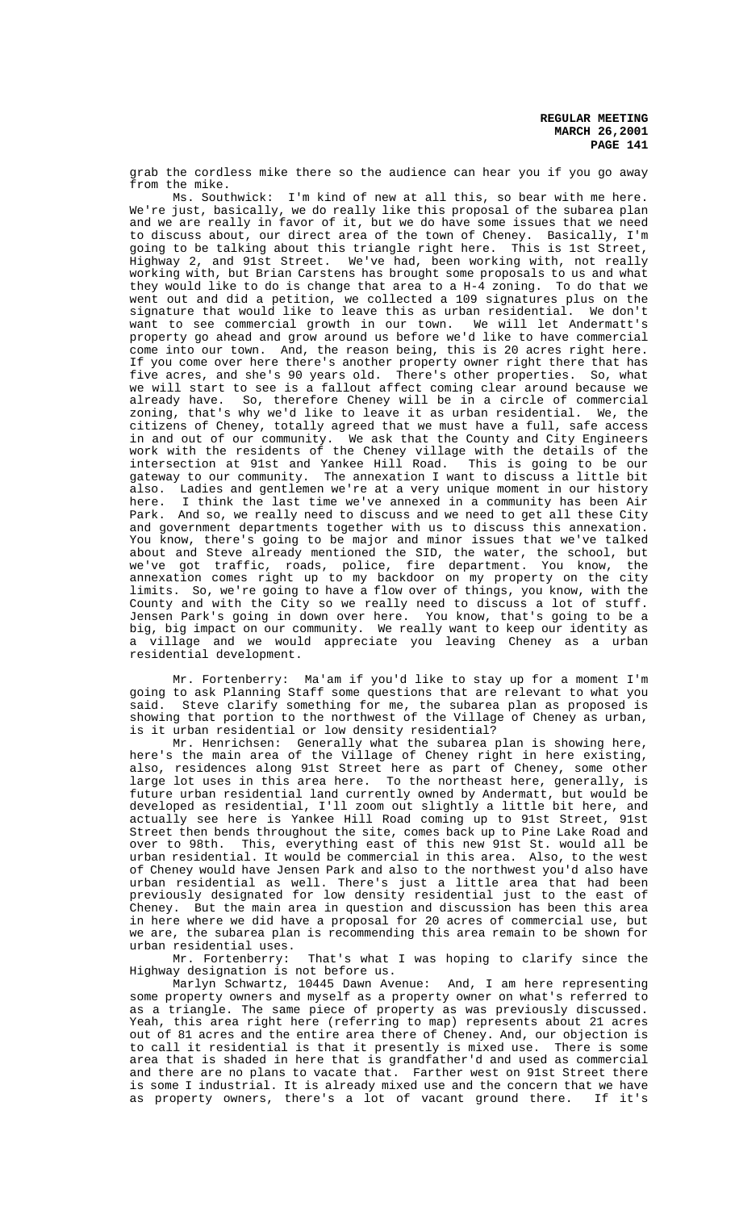grab the cordless mike there so the audience can hear you if you go away from the mike.

Ms. Southwick: I'm kind of new at all this, so bear with me here. We're just, basically, we do really like this proposal of the subarea plan and we are really in favor of it, but we do have some issues that we need to discuss about, our direct area of the town of Cheney. Basically, I'm going to be talking about this triangle right here. This is 1st Street, Highway 2, and 91st Street. We've had, been working with, not really working with, but Brian Carstens has brought some proposals to us and what they would like to do is change that area to a H-4 zoning. To do that we went out and did a petition, we collected a 109 signatures plus on the signature that would like to leave this as urban residential. We don't want to see commercial growth in our town. We will let Andermatt's property go ahead and grow around us before we'd like to have commercial come into our town. And, the reason being, this is 20 acres right here. If you come over here there's another property owner right there that has five acres, and she's 90 years old. There's other properties. So, what we will start to see is a fallout affect coming clear around because we already have. So, therefore Cheney will be in a circle of commercial zoning, that's why we'd like to leave it as urban residential. We, the citizens of Cheney, totally agreed that we must have a full, safe access in and out of our community. We ask that the County and City Engineers work with the residents of the Cheney village with the details of the intersection at 91st and Yankee Hill Road. This is going to be our gateway to our community. The annexation I want to discuss a little bit also. Ladies and gentlemen we're at a very unique moment in our history<br>here. I think the last time we've annexed in a community has been Air I think the last time we've annexed in a community has been Air Park. And so, we really need to discuss and we need to get all these City and government departments together with us to discuss this annexation. You know, there's going to be major and minor issues that we've talked about and Steve already mentioned the SID, the water, the school, but we've got traffic, roads, police, fire department. You know, the annexation comes right up to my backdoor on my property on the city limits. So, we're going to have a flow over of things, you know, with the County and with the City so we really need to discuss a lot of stuff. Jensen Park's going in down over here. You know, that's going to be a big, big impact on our community. We really want to keep our identity as a village and we would appreciate you leaving Cheney as a urban residential development.

Mr. Fortenberry: Ma'am if you'd like to stay up for a moment I'm going to ask Planning Staff some questions that are relevant to what you said. Steve clarify something for me, the subarea plan as proposed is showing that portion to the northwest of the Village of Cheney as urban, is it urban residential or low density residential?

Mr. Henrichsen: Generally what the subarea plan is showing here, here's the main area of the Village of Cheney right in here existing, also, residences along 91st Street here as part of Cheney, some other large lot uses in this area here. To the northeast here, generally, is future urban residential land currently owned by Andermatt, but would be developed as residential, I'll zoom out slightly a little bit here, and<br>actually see here is Yankee Hill Road coming up to 91st Street. 91st actually see here is Yankee Hill Road coming up to 91st Street, Street then bends throughout the site, comes back up to Pine Lake Road and over to 98th. This, everything east of this new 91st St. would all be urban residential. It would be commercial in this area. Also, to the west of Cheney would have Jensen Park and also to the northwest you'd also have urban residential as well. There's just a little area that had been previously designated for low density residential just to the east of Cheney. But the main area in question and discussion has been this area in here where we did have a proposal for 20 acres of commercial use, but we are, the subarea plan is recommending this area remain to be shown for urban residential uses.

Mr. Fortenberry: That's what I was hoping to clarify since the Highway designation is not before us.

Marlyn Schwartz, 10445 Dawn Avenue: And, I am here representing some property owners and myself as a property owner on what's referred to as a triangle. The same piece of property as was previously discussed. Yeah, this area right here (referring to map) represents about 21 acres out of 81 acres and the entire area there of Cheney. And, our objection is to call it residential is that it presently is mixed use. There is some area that is shaded in here that is grandfather'd and used as commercial and there are no plans to vacate that. Farther west on 91st Street there is some I industrial. It is already mixed use and the concern that we have<br>as property owners, there's a lot of vacant ground there. If it's as property owners, there's a lot of vacant ground there.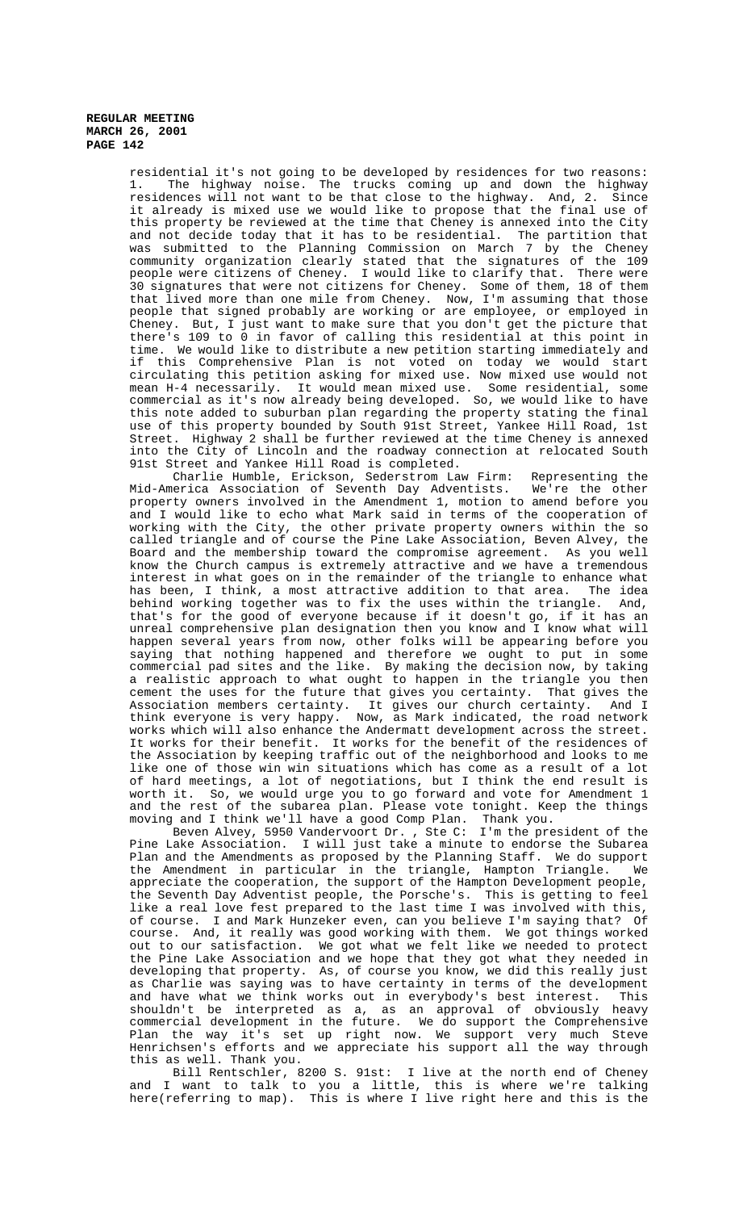> residential it's not going to be developed by residences for two reasons: 1. The highway noise. The trucks coming up and down the highway residences will not want to be that close to the highway. And, 2. Since it already is mixed use we would like to propose that the final use of this property be reviewed at the time that Cheney is annexed into the City and not decide today that it has to be residential. The partition that was submitted to the Planning Commission on March 7 by the Cheney community organization clearly stated that the signatures of the 109 people were citizens of Cheney. I would like to clarify that. There were 30 signatures that were not citizens for Cheney. Some of them, 18 of them that lived more than one mile from Cheney. Now, I'm assuming that those people that signed probably are working or are employee, or employed in Cheney. But, I just want to make sure that you don't get the picture that there's 109 to 0 in favor of calling this residential at this point in time. We would like to distribute a new petition starting immediately and if this Comprehensive Plan is not voted on today we would start circulating this petition asking for mixed use. Now mixed use would not mean H-4 necessarily. It would mean mixed use. Some residential, some commercial as it's now already being developed. So, we would like to have this note added to suburban plan regarding the property stating the final use of this property bounded by South 91st Street, Yankee Hill Road, 1st Street. Highway 2 shall be further reviewed at the time Cheney is annexed into the City of Lincoln and the roadway connection at relocated South 91st Street and Yankee Hill Road is completed.

> Charlie Humble, Erickson, Sederstrom Law Firm: Representing the Mid-America Association of Seventh Day Adventists. We're the other property owners involved in the Amendment 1, motion to amend before you and I would like to echo what Mark said in terms of the cooperation of working with the City, the other private property owners within the so called triangle and of course the Pine Lake Association, Beven Alvey, the Board and the membership toward the compromise agreement. As you well know the Church campus is extremely attractive and we have a tremendous interest in what goes on in the remainder of the triangle to enhance what has been, I think, a most attractive addition to that area. The idea behind working together was to fix the uses within the triangle. And, that's for the good of everyone because if it doesn't go, if it has an unreal comprehensive plan designation then you know and I know what will happen several years from now, other folks will be appearing before you saying that nothing happened and therefore we ought to put in some commercial pad sites and the like. By making the decision now, by taking a realistic approach to what ought to happen in the triangle you then cement the uses for the future that gives you certainty. That gives the Association members certainty. It gives our church certainty. And I think everyone is very happy. Now, as Mark indicated, the road network works which will also enhance the Andermatt development across the street. It works for their benefit. It works for the benefit of the residences of the Association by keeping traffic out of the neighborhood and looks to me like one of those win win situations which has come as a result of a lot of hard meetings, a lot of negotiations, but I think the end result is worth it. So, we would urge you to go forward and vote for Amendment 1 and the rest of the subarea plan. Please vote tonight. Keep the things moving and I think we'll have a good Comp Plan. Thank you.

> Beven Alvey, 5950 Vandervoort Dr. , Ste C: I'm the president of the Pine Lake Association. I will just take a minute to endorse the Subarea Plan and the Amendments as proposed by the Planning Staff. We do support the Amendment in particular in the triangle, Hampton Triangle. We appreciate the cooperation, the support of the Hampton Development people, the Seventh Day Adventist people, the Porsche's. This is getting to feel like a real love fest prepared to the last time I was involved with this, of course. I and Mark Hunzeker even, can you believe I'm saying that? Of course. And, it really was good working with them. We got things worked out to our satisfaction. We got what we felt like we needed to protect the Pine Lake Association and we hope that they got what they needed in developing that property. As, of course you know, we did this really just as Charlie was saying was to have certainty in terms of the development and have what we think works out in everybody's best interest. This shouldn't be interpreted as a, as an approval of obviously heavy commercial development in the future. We do support the Comprehensive Plan the way it's set up right now. We support very much Steve Henrichsen's efforts and we appreciate his support all the way through this as well. Thank you.

> Bill Rentschler, 8200 S. 91st: I live at the north end of Cheney and I want to talk to you a little, this is where we're talking here(referring to map). This is where I live right here and this is the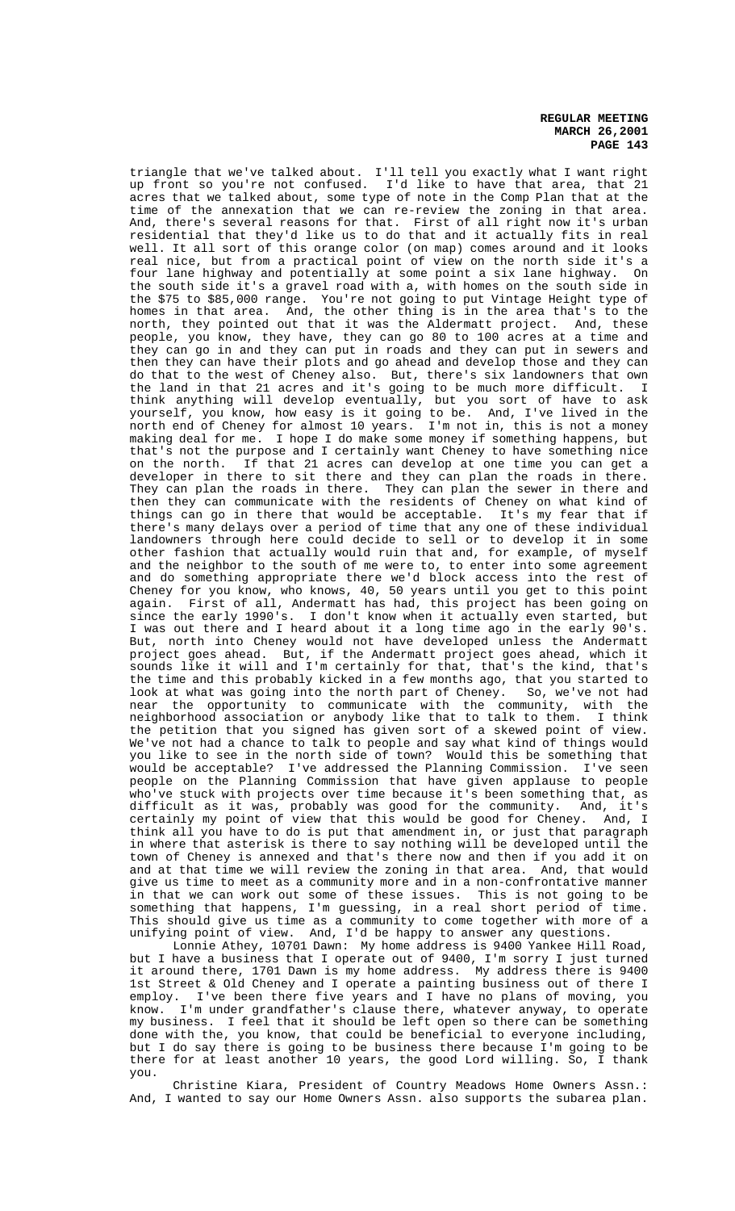triangle that we've talked about. I'll tell you exactly what I want right up front so you're not confused. I'd like to have that area, that 21 acres that we talked about, some type of note in the Comp Plan that at the time of the annexation that we can re-review the zoning in that area. And, there's several reasons for that. First of all right now it's urban residential that they'd like us to do that and it actually fits in real well. It all sort of this orange color (on map) comes around and it looks real nice, but from a practical point of view on the north side it's a four lane highway and potentially at some point a six lane highway. On the south side it's a gravel road with a, with homes on the south side in the \$75 to \$85,000 range. You're not going to put Vintage Height type of homes in that area. And, the other thing is in the area that's to the north, they pointed out that it was the Aldermatt project. And, these people, you know, they have, they can go 80 to 100 acres at a time and they can go in and they can put in roads and they can put in sewers and then they can have their plots and go ahead and develop those and they can do that to the west of Cheney also. But, there's six landowners that own the land in that 21 acres and it's going to be much more difficult. I think anything will develop eventually, but you sort of have to ask yourself, you know, how easy is it going to be. And, I've lived in the north end of Cheney for almost 10 years. I'm not in, this is not a money making deal for me. I hope I do make some money if something happens, but that's not the purpose and I certainly want Cheney to have something nice<br>on the north. If that 21 acres can develop at one time you can get a If that 21 acres can develop at one time you can get a developer in there to sit there and they can plan the roads in there. They can plan the roads in there. They can plan the sewer in there and then they can communicate with the residents of Cheney on what kind of things can go in there that would be acceptable. It's my fear that if there's many delays over a period of time that any one of these individual landowners through here could decide to sell or to develop it in some other fashion that actually would ruin that and, for example, of myself and the neighbor to the south of me were to, to enter into some agreement and do something appropriate there we'd block access into the rest of Cheney for you know, who knows, 40, 50 years until you get to this point again. First of all, Andermatt has had, this project has been going on since the early 1990's. I don't know when it actually even started, but I was out there and I heard about it a long time ago in the early 90's. But, north into Cheney would not have developed unless the Andermatt project goes ahead. But, if the Andermatt project goes ahead, which it sounds like it will and I'm certainly for that, that's the kind, that's the time and this probably kicked in a few months ago, that you started to look at what was going into the north part of Cheney. So, we've not had near the opportunity to communicate with the community, with the neighborhood association or anybody like that to talk to them. I think the petition that you signed has given sort of a skewed point of view. We've not had a chance to talk to people and say what kind of things would you like to see in the north side of town? Would this be something that would be acceptable? I've addressed the Planning Commission. I've seen people on the Planning Commission that have given applause to people who've stuck with projects over time because it's been something that, as difficult as it was, probably was good for the community. And, it's certainly my point of view that this would be good for Cheney. And, I think all you have to do is put that amendment in, or just that paragraph in where that asterisk is there to say nothing will be developed until the town of Cheney is annexed and that's there now and then if you add it on and at that time we will review the zoning in that area. And, that would give us time to meet as a community more and in a non-confrontative manner in that we can work out some of these issues. This is not going to be something that happens, I'm guessing, in a real short period of time. This should give us time as a community to come together with more of a unifying point of view. And, I'd be happy to answer any questions.

Lonnie Athey, 10701 Dawn: My home address is 9400 Yankee Hill Road, but I have a business that I operate out of 9400, I'm sorry I just turned it around there, 1701 Dawn is my home address. My address there is 9400 1st Street & Old Cheney and I operate a painting business out of there I employ. I've been there five years and I have no plans of moving, you know. I'm under grandfather's clause there, whatever anyway, to operate my business. I feel that it should be left open so there can be something done with the, you know, that could be beneficial to everyone including, but I do say there is going to be business there because I'm going to be there for at least another 10 years, the good Lord willing. So, I thank you.

Christine Kiara, President of Country Meadows Home Owners Assn.: And, I wanted to say our Home Owners Assn. also supports the subarea plan.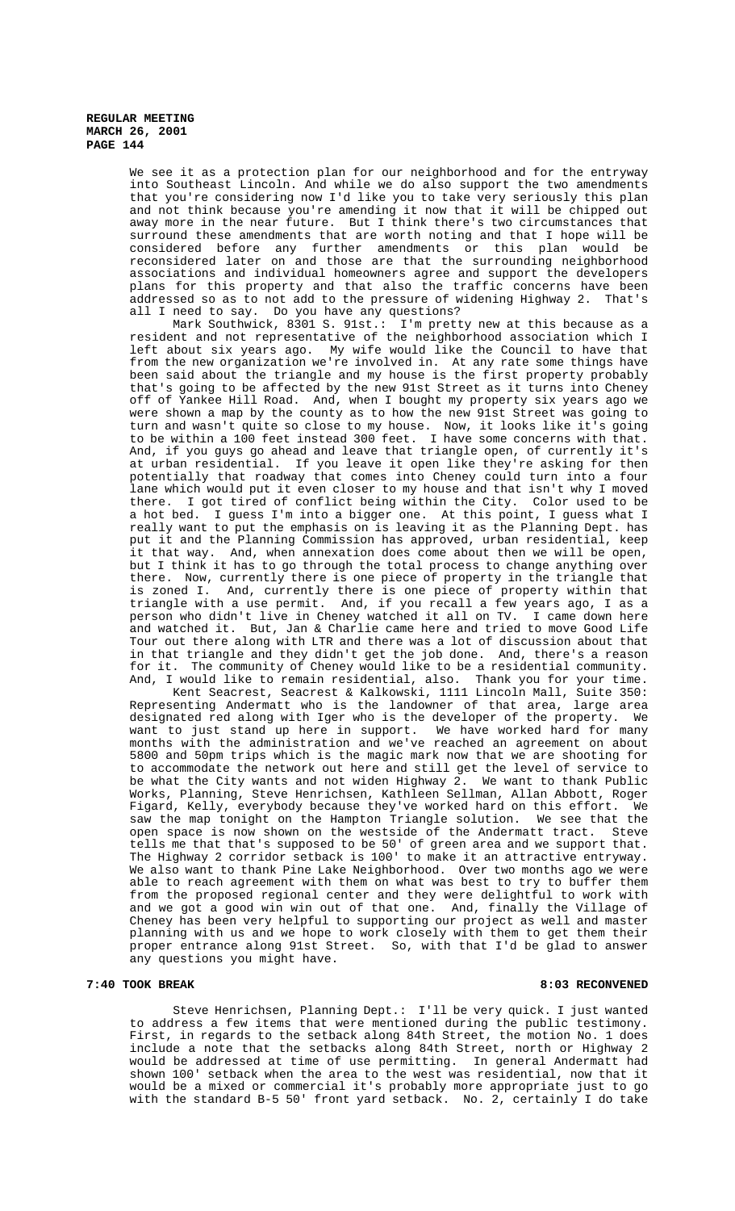> We see it as a protection plan for our neighborhood and for the entryway into Southeast Lincoln. And while we do also support the two amendments that you're considering now I'd like you to take very seriously this plan and not think because you're amending it now that it will be chipped out away more in the near future. But I think there's two circumstances that surround these amendments that are worth noting and that I hope will be considered before any further amendments or this plan would be reconsidered later on and those are that the surrounding neighborhood associations and individual homeowners agree and support the developers plans for this property and that also the traffic concerns have been<br>addressed so as to not add to the pressure of widening Highway 2. That's addressed so as to not add to the pressure of widening Highway 2. all I need to say. Do you have any questions?

> Mark Southwick, 8301 S. 91st.: I'm pretty new at this because as a resident and not representative of the neighborhood association which I left about six years ago. My wife would like the Council to have that from the new organization we're involved in. At any rate some things have been said about the triangle and my house is the first property probably that's going to be affected by the new 91st Street as it turns into Cheney off of Yankee Hill Road. And, when I bought my property six years ago we were shown a map by the county as to how the new 91st Street was going to turn and wasn't quite so close to my house. Now, it looks like it's going to be within a 100 feet instead 300 feet. I have some concerns with that. And, if you guys go ahead and leave that triangle open, of currently it's at urban residential. If you leave it open like they're asking for then potentially that roadway that comes into Cheney could turn into a four lane which would put it even closer to my house and that isn't why I moved there. I got tired of conflict being within the City. Color used to be a hot bed. I guess I'm into a bigger one. At this point, I guess what I really want to put the emphasis on is leaving it as the Planning Dept. has put it and the Planning Commission has approved, urban residential, keep it that way. And, when annexation does come about then we will be open, but I think it has to go through the total process to change anything over there. Now, currently there is one piece of property in the triangle that is zoned I. And, currently there is one piece of property within that triangle with a use permit. And, if you recall a few years ago, I as a person who didn't live in Cheney watched it all on TV. I came down here and watched it. But, Jan & Charlie came here and tried to move Good Life Tour out there along with LTR and there was a lot of discussion about that in that triangle and they didn't get the job done. And, there's a reason for it. The community of Cheney would like to be a residential community. And, I would like to remain residential, also. Thank you for your time.

> Kent Seacrest, Seacrest & Kalkowski, 1111 Lincoln Mall, Suite 350: Representing Andermatt who is the landowner of that area, large area designated red along with Iger who is the developer of the property. We want to just stand up here in support. We have worked hard for many months with the administration and we've reached an agreement on about 5800 and 50pm trips which is the magic mark now that we are shooting for to accommodate the network out here and still get the level of service to be what the City wants and not widen Highway 2. We want to thank Public Works, Planning, Steve Henrichsen, Kathleen Sellman, Allan Abbott, Roger Figard, Kelly, everybody because they've worked hard on this effort. We saw the map tonight on the Hampton Triangle solution. We see that the open space is now shown on the westside of the Andermatt tract. Steve tells me that that's supposed to be 50' of green area and we support that. The Highway 2 corridor setback is 100' to make it an attractive entryway. We also want to thank Pine Lake Neighborhood. Over two months ago we were able to reach agreement with them on what was best to try to buffer them from the proposed regional center and they were delightful to work with and we got a good win win out of that one. And, finally the Village of Cheney has been very helpful to supporting our project as well and master planning with us and we hope to work closely with them to get them their proper entrance along 91st Street. So, with that I'd be glad to answer any questions you might have.

#### **7:40 TOOK BREAK 8:03 RECONVENED**

Steve Henrichsen, Planning Dept.: I'll be very quick. I just wanted to address a few items that were mentioned during the public testimony. First, in regards to the setback along 84th Street, the motion No. 1 does include a note that the setbacks along 84th Street, north or Highway 2 would be addressed at time of use permitting. In general Andermatt had shown 100' setback when the area to the west was residential, now that it would be a mixed or commercial it's probably more appropriate just to go with the standard B-5 50' front yard setback. No. 2, certainly I do take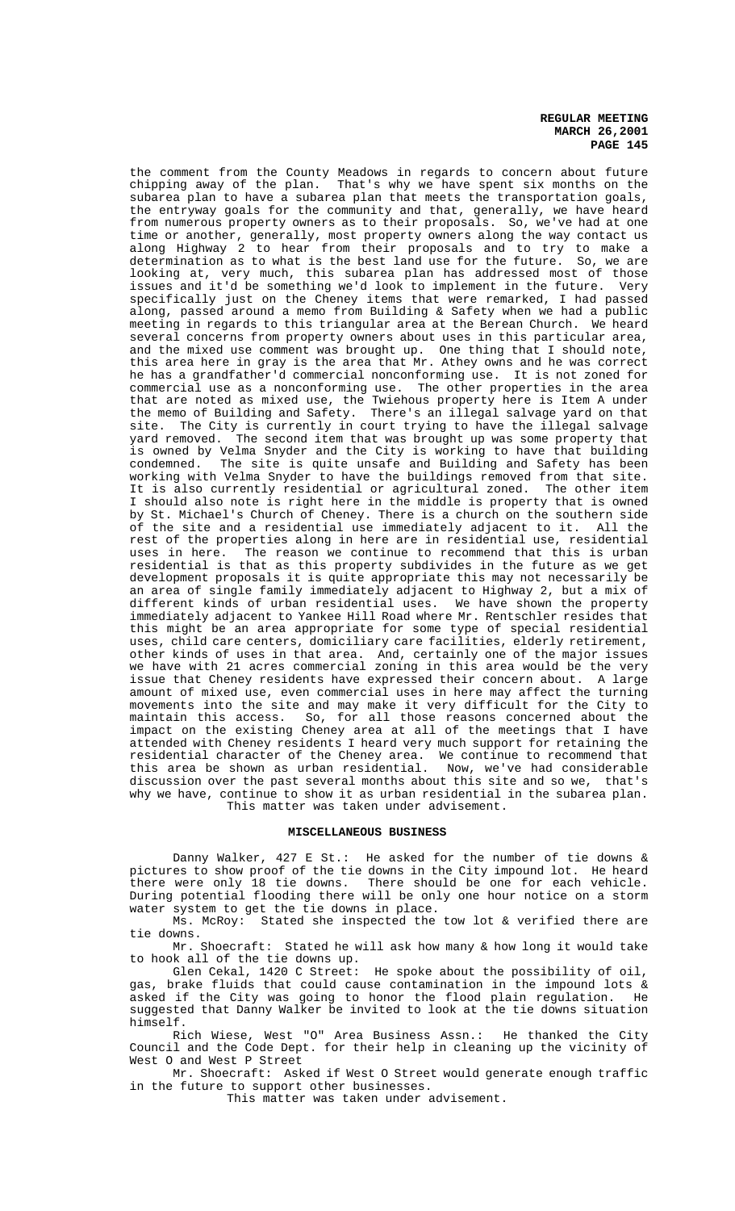the comment from the County Meadows in regards to concern about future chipping away of the plan. That's why we have spent six months on the That's why we have spent six months on the subarea plan to have a subarea plan that meets the transportation goals, the entryway goals for the community and that, generally, we have heard from numerous property owners as to their proposals. So, we've had at one time or another, generally, most property owners along the way contact us along Highway 2 to hear from their proposals and to try to make a determination as to what is the best land use for the future. So, we are looking at, very much, this subarea plan has addressed most of those<br>issues and it'd be something we'd look to implement in the future. Very issues and it'd be something we'd look to implement in the future. specifically just on the Cheney items that were remarked, I had passed along, passed around a memo from Building & Safety when we had a public meeting in regards to this triangular area at the Berean Church. We heard several concerns from property owners about uses in this particular area, and the mixed use comment was brought up. One thing that I should note, this area here in gray is the area that Mr. Athey owns and he was correct he has a grandfather'd commercial nonconforming use. It is not zoned for commercial use as a nonconforming use. The other properties in the area that are noted as mixed use, the Twiehous property here is Item A under the memo of Building and Safety. There's an illegal salvage yard on that site. The City is currently in court trying to have the illegal salvage yard removed. The second item that was brought up was some property that is owned by Velma Snyder and the City is working to have that building<br>condemned. The site is quite unsafe and Building and Safety has been The site is quite unsafe and Building and Safety has been working with Velma Snyder to have the buildings removed from that site. It is also currently residential or agricultural zoned. The other item I should also note is right here in the middle is property that is owned by St. Michael's Church of Cheney. There is a church on the southern side of the site and a residential use immediately adjacent to it. All the rest of the properties along in here are in residential use, residential uses in here. The reason we continue to recommend that this is urban residential is that as this property subdivides in the future as we get development proposals it is quite appropriate this may not necessarily be an area of single family immediately adjacent to Highway 2, but a mix of different kinds of urban residential uses. We have shown the property immediately adjacent to Yankee Hill Road where Mr. Rentschler resides that this might be an area appropriate for some type of special residential uses, child care centers, domiciliary care facilities, elderly retirement, other kinds of uses in that area. And, certainly one of the major issues we have with 21 acres commercial zoning in this area would be the very issue that Cheney residents have expressed their concern about. A large amount of mixed use, even commercial uses in here may affect the turning movements into the site and may make it very difficult for the City to maintain this access. So, for all those reasons concerned about the impact on the existing Cheney area at all of the meetings that I have attended with Cheney residents I heard very much support for retaining the residential character of the Cheney area. We continue to recommend that this area be shown as urban residential. Now, we've had considerable discussion over the past several months about this site and so we, that's why we have, continue to show it as urban residential in the subarea plan. This matter was taken under advisement.

#### **MISCELLANEOUS BUSINESS**

Danny Walker, 427 E St.: He asked for the number of tie downs & pictures to show proof of the tie downs in the City impound lot. He heard there were only 18 tie downs. There should be one for each vehicle. During potential flooding there will be only one hour notice on a storm water system to get the tie downs in place.

Ms. McRoy: Stated she inspected the tow lot & verified there are tie downs.

Mr. Shoecraft: Stated he will ask how many & how long it would take to hook all of the tie downs up.

Glen Cekal, 1420 C Street: He spoke about the possibility of oil, gas, brake fluids that could cause contamination in the impound lots & asked if the City was going to honor the flood plain regulation. He suggested that Danny Walker be invited to look at the tie downs situation himself.

Rich Wiese, West "O" Area Business Assn.: He thanked the City Council and the Code Dept. for their help in cleaning up the vicinity of West O and West P Street

Mr. Shoecraft: Asked if West O Street would generate enough traffic in the future to support other businesses.

This matter was taken under advisement.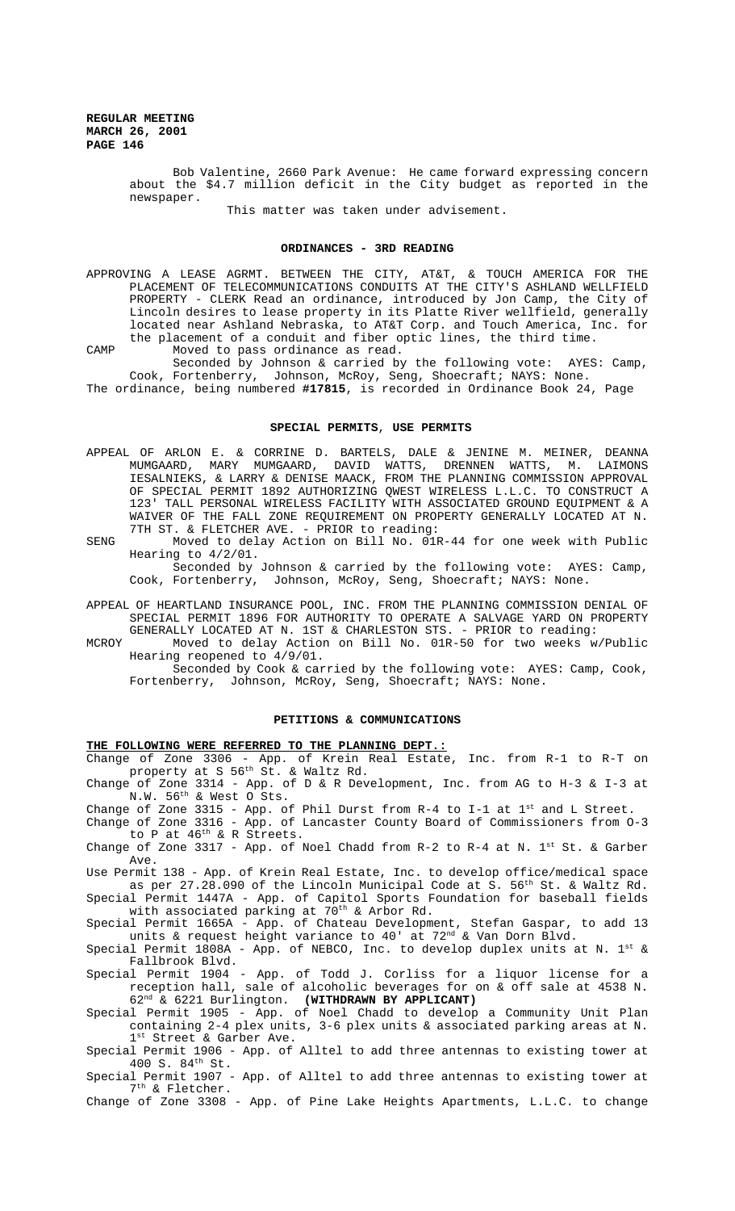> Bob Valentine, 2660 Park Avenue: He came forward expressing concern about the \$4.7 million deficit in the City budget as reported in the newspaper.

> > This matter was taken under advisement.

#### **ORDINANCES - 3RD READING**

APPROVING A LEASE AGRMT. BETWEEN THE CITY, AT&T, & TOUCH AMERICA FOR THE PLACEMENT OF TELECOMMUNICATIONS CONDUITS AT THE CITY'S ASHLAND WELLFIELD PROPERTY - CLERK Read an ordinance, introduced by Jon Camp, the City of Lincoln desires to lease property in its Platte River wellfield, generally located near Ashland Nebraska, to AT&T Corp. and Touch America, Inc. for the placement of a conduit and fiber optic lines, the third time.

CAMP Moved to pass ordinance as read. Seconded by Johnson & carried by the following vote: AYES: Camp, Cook, Fortenberry, Johnson, McRoy, Seng, Shoecraft; NAYS: None.

The ordinance, being numbered **#17815**, is recorded in Ordinance Book 24, Page

#### **SPECIAL PERMITS**, **USE PERMITS**

- APPEAL OF ARLON E. & CORRINE D. BARTELS, DALE & JENINE M. MEINER, DEANNA MUMGAARD, MARY MUMGAARD, DAVID WATTS, DRENNEN WATTS, M. LAIMONS IESALNIEKS, & LARRY & DENISE MAACK, FROM THE PLANNING COMMISSION APPROVAL OF SPECIAL PERMIT 1892 AUTHORIZING QWEST WIRELESS L.L.C. TO CONSTRUCT A 123' TALL PERSONAL WIRELESS FACILITY WITH ASSOCIATED GROUND EQUIPMENT & A WAIVER OF THE FALL ZONE REQUIREMENT ON PROPERTY GENERALLY LOCATED AT N. 7TH ST. & FLETCHER AVE. - PRIOR to reading:
- SENG Moved to delay Action on Bill No. 01R-44 for one week with Public Hearing to 4/2/01.

Seconded by Johnson & carried by the following vote: AYES: Camp, Cook, Fortenberry, Johnson, McRoy, Seng, Shoecraft; NAYS: None.

- APPEAL OF HEARTLAND INSURANCE POOL, INC. FROM THE PLANNING COMMISSION DENIAL OF SPECIAL PERMIT 1896 FOR AUTHORITY TO OPERATE A SALVAGE YARD ON PROPERTY GENERALLY LOCATED AT N. 1ST & CHARLESTON STS. - PRIOR to reading:
- MCROY Moved to delay Action on Bill No. 01R-50 for two weeks w/Public Hearing reopened to 4/9/01.

Seconded by Cook & carried by the following vote: AYES: Camp, Cook, Fortenberry, Johnson, McRoy, Seng, Shoecraft; NAYS: None.

# **PETITIONS & COMMUNICATIONS**

#### **THE FOLLOWING WERE REFERRED TO THE PLANNING DEPT.:**

Change of Zone 3306 - App. of Krein Real Estate, Inc. from R-1 to R-T on property at S 56th St. & Waltz Rd.

Change of Zone 3314 - App. of D & R Development, Inc. from AG to H-3 & I-3 at  $N.W. 56<sup>th</sup>$  & West O Sts.

Change of Zone 3315 - App. of Phil Durst from R-4 to I-1 at  $1^{st}$  and L Street. Change of Zone 3316 - App. of Lancaster County Board of Commissioners from O-3

to P at  $46^{\text{th}}$  & R Streets.

Change of Zone 3317 - App. of Noel Chadd from R-2 to R-4 at N.  $1^{st}$  St. & Garber Ave.

Use Permit 138 - App. of Krein Real Estate, Inc. to develop office/medical space as per 27.28.090 of the Lincoln Municipal Code at S. 56<sup>th</sup> St. & Waltz Rd. Special Permit 1447A - App. of Capitol Sports Foundation for baseball fields

with associated parking at 70<sup>th</sup> & Arbor Rd. Special Permit 1665A - App. of Chateau Development, Stefan Gaspar, to add 13

units & request height variance to  $40^{\degree}$  at  $72^{\text{nd}}$  & Van Dorn Blvd.

Special Permit  $1808A$  - App. of NEBCO, Inc. to develop duplex units at N. 1st & Fallbrook Blvd.

Special Permit 1904 - App. of Todd J. Corliss for a liquor license for a reception hall, sale of alcoholic beverages for on & off sale at 4538 N. 62nd & 6221 Burlington. **(WITHDRAWN BY APPLICANT)**

Special Permit 1905 - App. of Noel Chadd to develop a Community Unit Plan containing 2-4 plex units, 3-6 plex units & associated parking areas at N. 1st Street & Garber Ave.

Special Permit 1906 - App. of Alltel to add three antennas to existing tower at  $400 S. 84$ <sup>th</sup> St.

Special Permit 1907 - App. of Alltel to add three antennas to existing tower at 7th & Fletcher.

Change of Zone 3308 - App. of Pine Lake Heights Apartments, L.L.C. to change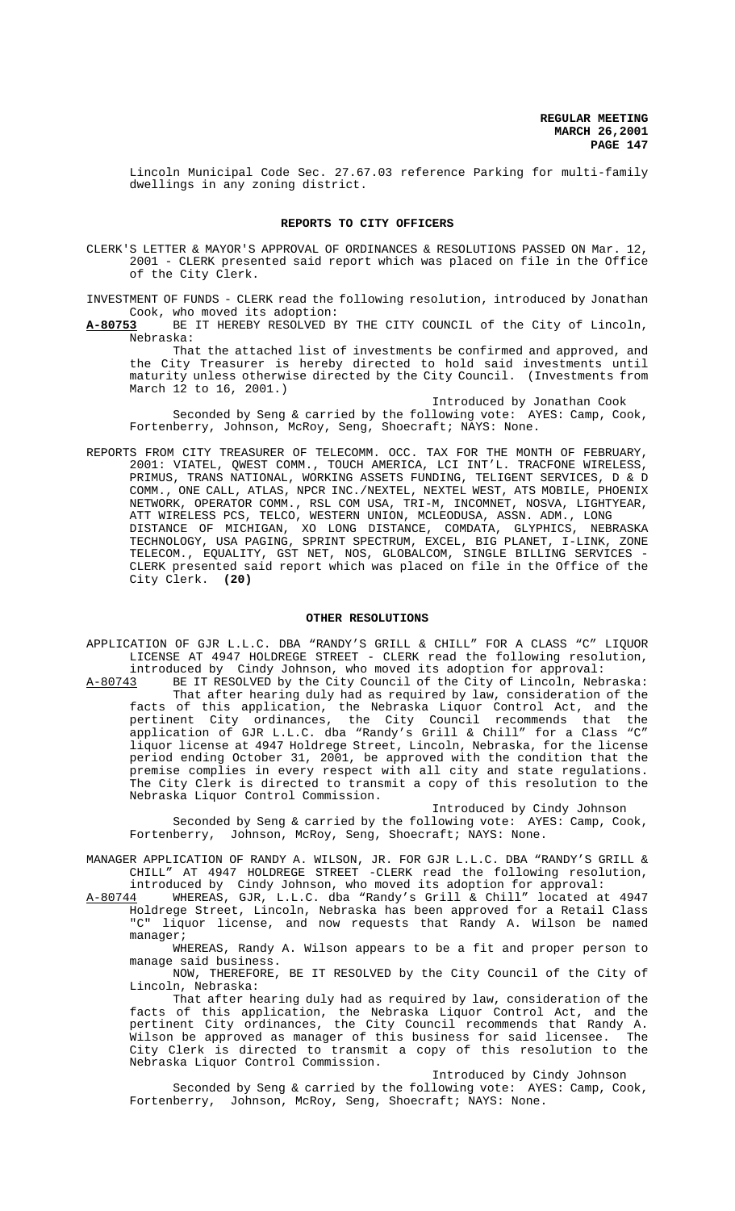Lincoln Municipal Code Sec. 27.67.03 reference Parking for multi-family dwellings in any zoning district.

## **REPORTS TO CITY OFFICERS**

CLERK'S LETTER & MAYOR'S APPROVAL OF ORDINANCES & RESOLUTIONS PASSED ON Mar. 12, 2001 - CLERK presented said report which was placed on file in the Office of the City Clerk.

INVESTMENT OF FUNDS - CLERK read the following resolution, introduced by Jonathan Cook, who moved its adoption:

**A-80753** BE IT HEREBY RESOLVED BY THE CITY COUNCIL of the City of Lincoln, Nebraska:

That the attached list of investments be confirmed and approved, and the City Treasurer is hereby directed to hold said investments until maturity unless otherwise directed by the City Council. (Investments from March 12 to 16, 2001.)

Introduced by Jonathan Cook

Seconded by Seng & carried by the following vote: AYES: Camp, Cook, Fortenberry, Johnson, McRoy, Seng, Shoecraft; NAYS: None.

REPORTS FROM CITY TREASURER OF TELECOMM. OCC. TAX FOR THE MONTH OF FEBRUARY, 2001: VIATEL, QWEST COMM., TOUCH AMERICA, LCI INT'L. TRACFONE WIRELESS, PRIMUS, TRANS NATIONAL, WORKING ASSETS FUNDING, TELIGENT SERVICES, D & D COMM., ONE CALL, ATLAS, NPCR INC./NEXTEL, NEXTEL WEST, ATS MOBILE, PHOENIX NETWORK, OPERATOR COMM., RSL COM USA, TRI-M, INCOMNET, NOSVA, LIGHTYEAR, ATT WIRELESS PCS, TELCO, WESTERN UNION, MCLEODUSA, ASSN. ADM., LONG DISTANCE OF MICHIGAN, XO LONG DISTANCE, COMDATA, GLYPHICS, NEBRASKA TECHNOLOGY, USA PAGING, SPRINT SPECTRUM, EXCEL, BIG PLANET, I-LINK, ZONE TELECOM., EQUALITY, GST NET, NOS, GLOBALCOM, SINGLE BILLING SERVICES - CLERK presented said report which was placed on file in the Office of the City Clerk. **(20)**

#### **OTHER RESOLUTIONS**

- APPLICATION OF GJR L.L.C. DBA "RANDY'S GRILL & CHILL" FOR A CLASS "C" LIQUOR LICENSE AT 4947 HOLDREGE STREET - CLERK read the following resolution, introduced by Cindy Johnson, who moved its adoption for approval:<br>A-80743 BE IT RESOLVED by the City Council of the City of Lincoln, Neb
- BE IT RESOLVED by the City Council of the City of Lincoln, Nebraska: That after hearing duly had as required by law, consideration of the facts of this application, the Nebraska Liquor Control Act, and the pertinent City ordinances, the City Council recommends that the application of GJR L.L.C. dba "Randy's Grill & Chill" for a Class "C" liquor license at 4947 Holdrege Street, Lincoln, Nebraska, for the license period ending October 31, 2001, be approved with the condition that the premise complies in every respect with all city and state regulations. The City Clerk is directed to transmit a copy of this resolution to the Nebraska Liquor Control Commission.

Introduced by Cindy Johnson

Seconded by Seng & carried by the following vote: AYES: Camp, Cook, Fortenberry, Johnson, McRoy, Seng, Shoecraft; NAYS: None.

MANAGER APPLICATION OF RANDY A. WILSON, JR. FOR GJR L.L.C. DBA "RANDY'S GRILL & CHILL" AT 4947 HOLDREGE STREET -CLERK read the following resolution,

introduced by Cindy Johnson, who moved its adoption for approval: A-80744 WHEREAS, GJR, L.L.C. dba "Randy's Grill & Chill" located at 4947 Holdrege Street, Lincoln, Nebraska has been approved for a Retail Class "C" liquor license, and now requests that Randy A. Wilson be named manager;

WHEREAS, Randy A. Wilson appears to be a fit and proper person to manage said business.

NOW, THEREFORE, BE IT RESOLVED by the City Council of the City of Lincoln, Nebraska:

That after hearing duly had as required by law, consideration of the facts of this application, the Nebraska Liquor Control Act, and the pertinent City ordinances, the City Council recommends that Randy A. Wilson be approved as manager of this business for said licensee. The City Clerk is directed to transmit a copy of this resolution to the Nebraska Liquor Control Commission.

Introduced by Cindy Johnson

Seconded by Seng & carried by the following vote: AYES: Camp, Cook, Fortenberry, Johnson, McRoy, Seng, Shoecraft; NAYS: None.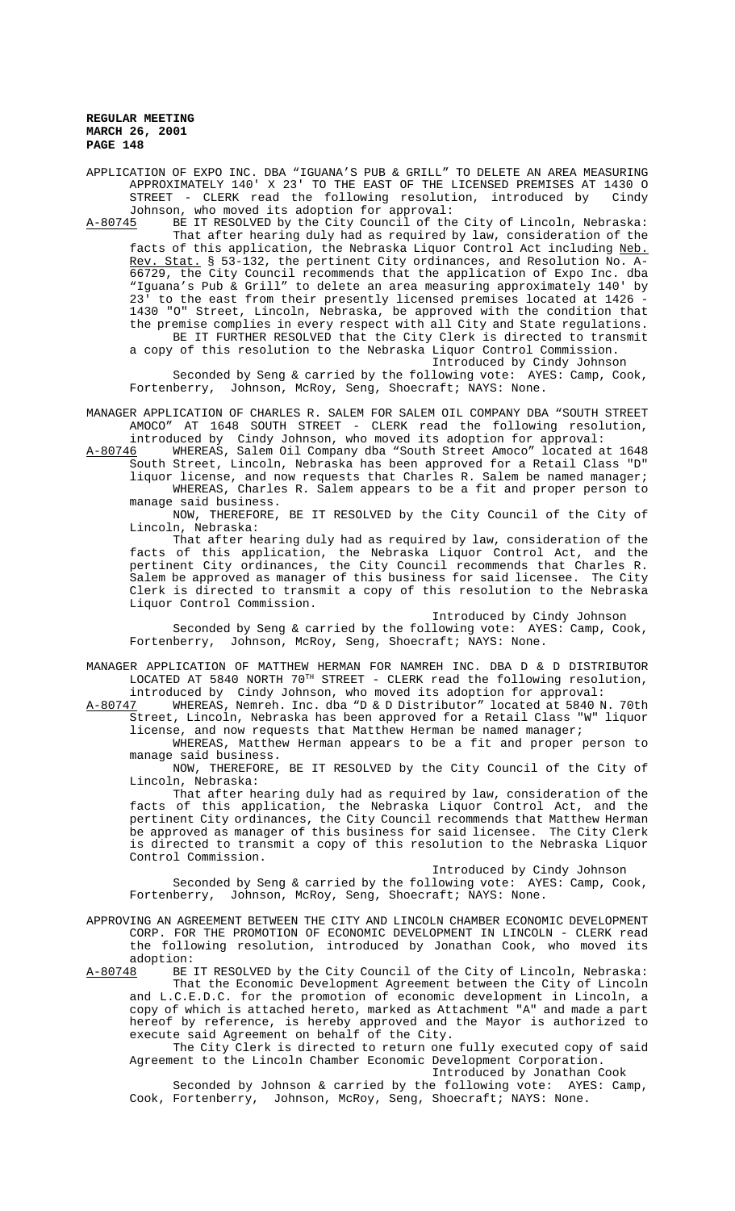APPLICATION OF EXPO INC. DBA "IGUANA'S PUB & GRILL" TO DELETE AN AREA MEASURING APPROXIMATELY 140' X 23' TO THE EAST OF THE LICENSED PREMISES AT 1430 O STREET - CLERK read the following resolution, introduced by Cindy Johnson, who moved its adoption for approval:

A-80745 BE IT RESOLVED by the City Council of the City of Lincoln, Nebraska: That after hearing duly had as required by law, consideration of the facts of this application, the Nebraska Liquor Control Act including Neb. Rev. Stat. § 53-132, the pertinent City ordinances, and Resolution No. A-66729, the City Council recommends that the application of Expo Inc. dba "Iguana's Pub & Grill" to delete an area measuring approximately 140' by 23' to the east from their presently licensed premises located at 1426 - 1430 "O" Street, Lincoln, Nebraska, be approved with the condition that the premise complies in every respect with all City and State regulations. BE IT FURTHER RESOLVED that the City Clerk is directed to transmit a copy of this resolution to the Nebraska Liquor Control Commission.

Introduced by Cindy Johnson

Seconded by Seng & carried by the following vote: AYES: Camp, Cook, Fortenberry, Johnson, McRoy, Seng, Shoecraft; NAYS: None.

MANAGER APPLICATION OF CHARLES R. SALEM FOR SALEM OIL COMPANY DBA "SOUTH STREET AMOCO" AT 1648 SOUTH STREET - CLERK read the following resolution, introduced by Cindy Johnson, who moved its adoption for approval:

A-80746 MHEREAS, Salem Oil Company dba "South Street Amoco" located at 1648 South Street, Lincoln, Nebraska has been approved for a Retail Class "D"

liquor license, and now requests that Charles R. Salem be named manager; WHEREAS, Charles R. Salem appears to be a fit and proper person to manage said business.

NOW, THEREFORE, BE IT RESOLVED by the City Council of the City of Lincoln, Nebraska:

That after hearing duly had as required by law, consideration of the facts of this application, the Nebraska Liquor Control Act, and the pertinent City ordinances, the City Council recommends that Charles R. Salem be approved as manager of this business for said licensee. The City Clerk is directed to transmit a copy of this resolution to the Nebraska Liquor Control Commission.

Introduced by Cindy Johnson Seconded by Seng & carried by the following vote: AYES: Camp, Cook, Fortenberry, Johnson, McRoy, Seng, Shoecraft; NAYS: None.

MANAGER APPLICATION OF MATTHEW HERMAN FOR NAMREH INC. DBA D & D DISTRIBUTOR LOCATED AT 5840 NORTH 70TH STREET - CLERK read the following resolution, introduced by Cindy Johnson, who moved its adoption for approval:

<u>A-80747</u> WHEREAS, Nemreh. Inc. dba "D & D Distributor" located at 5840 N. 70th Street, Lincoln, Nebraska has been approved for a Retail Class "W" liquor license, and now requests that Matthew Herman be named manager;

WHEREAS, Matthew Herman appears to be a fit and proper person to manage said business.

NOW, THEREFORE, BE IT RESOLVED by the City Council of the City of Lincoln, Nebraska:

That after hearing duly had as required by law, consideration of the facts of this application, the Nebraska Liquor Control Act, and the pertinent City ordinances, the City Council recommends that Matthew Herman be approved as manager of this business for said licensee. The City Clerk is directed to transmit a copy of this resolution to the Nebraska Liquor Control Commission.

Introduced by Cindy Johnson

Seconded by Seng & carried by the following vote: AYES: Camp, Cook, Fortenberry, Johnson, McRoy, Seng, Shoecraft; NAYS: None.

APPROVING AN AGREEMENT BETWEEN THE CITY AND LINCOLN CHAMBER ECONOMIC DEVELOPMENT CORP. FOR THE PROMOTION OF ECONOMIC DEVELOPMENT IN LINCOLN - CLERK read the following resolution, introduced by Jonathan Cook, who moved its adoption:<br>A-80748 BE

BE IT RESOLVED by the City Council of the City of Lincoln, Nebraska: That the Economic Development Agreement between the City of Lincoln and L.C.E.D.C. for the promotion of economic development in Lincoln, a copy of which is attached hereto, marked as Attachment "A" and made a part hereof by reference, is hereby approved and the Mayor is authorized to execute said Agreement on behalf of the City.

The City Clerk is directed to return one fully executed copy of said Agreement to the Lincoln Chamber Economic Development Corporation.

Introduced by Jonathan Cook

Seconded by Johnson & carried by the following vote: AYES: Camp, Cook, Fortenberry, Johnson, McRoy, Seng, Shoecraft; NAYS: None.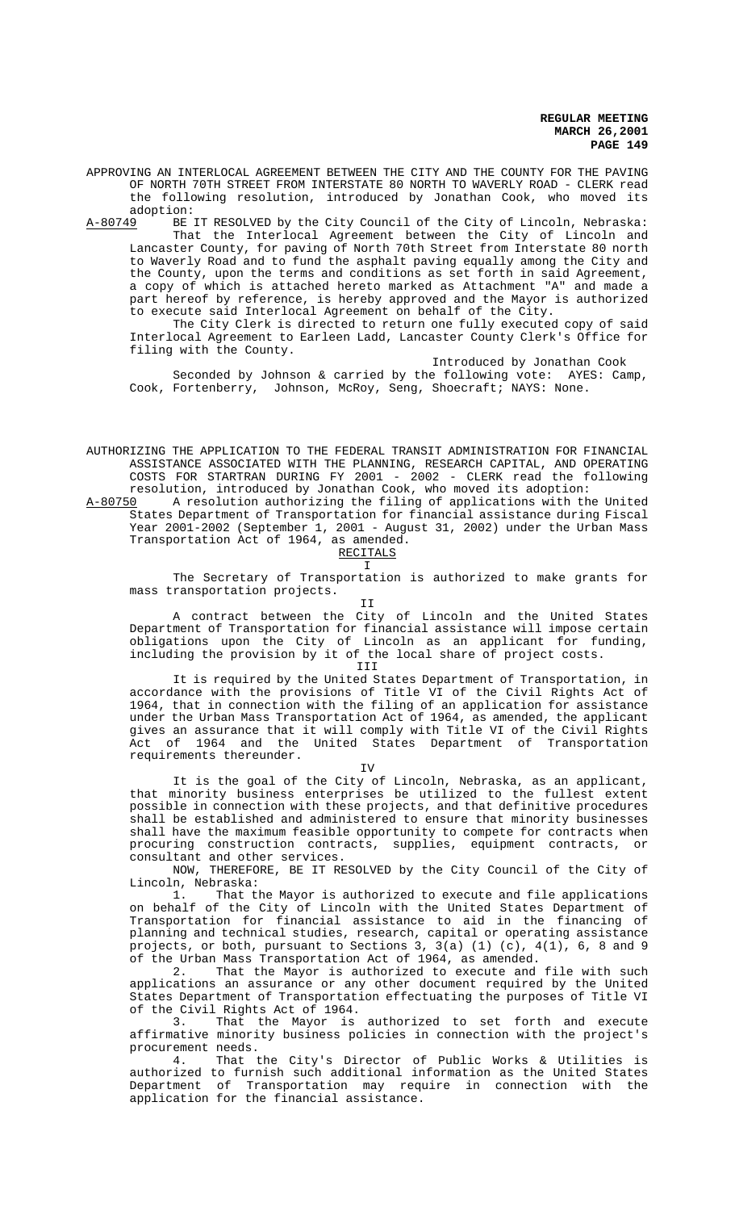APPROVING AN INTERLOCAL AGREEMENT BETWEEN THE CITY AND THE COUNTY FOR THE PAVING OF NORTH 70TH STREET FROM INTERSTATE 80 NORTH TO WAVERLY ROAD - CLERK read the following resolution, introduced by Jonathan Cook, who moved its adoption:<br><u>A-80749</u> BE

BE IT RESOLVED by the City Council of the City of Lincoln, Nebraska: That the Interlocal Agreement between the City of Lincoln and Lancaster County, for paving of North 70th Street from Interstate 80 north to Waverly Road and to fund the asphalt paving equally among the City and the County, upon the terms and conditions as set forth in said Agreement, a copy of which is attached hereto marked as Attachment "A" and made a part hereof by reference, is hereby approved and the Mayor is authorized to execute said Interlocal Agreement on behalf of the City.

The City Clerk is directed to return one fully executed copy of said Interlocal Agreement to Earleen Ladd, Lancaster County Clerk's Office for filing with the County.

Introduced by Jonathan Cook

Seconded by Johnson & carried by the following vote: AYES: Camp, Cook, Fortenberry, Johnson, McRoy, Seng, Shoecraft; NAYS: None.

AUTHORIZING THE APPLICATION TO THE FEDERAL TRANSIT ADMINISTRATION FOR FINANCIAL ASSISTANCE ASSOCIATED WITH THE PLANNING, RESEARCH CAPITAL, AND OPERATING COSTS FOR STARTRAN DURING FY 2001 - 2002 - CLERK read the following resolution, introduced by Jonathan Cook, who moved its adoption:

A-80750 A resolution authorizing the filing of applications with the United States Department of Transportation for financial assistance during Fiscal Year 2001-2002 (September 1, 2001 - August 31, 2002) under the Urban Mass Transportation Act of 1964, as amended.

# RECITALS

 $\mathsf{T}$ 

The Secretary of Transportation is authorized to make grants for mass transportation projects.

T<sub>T</sub>

A contract between the City of Lincoln and the United States Department of Transportation for financial assistance will impose certain obligations upon the City of Lincoln as an applicant for funding, including the provision by it of the local share of project costs.

# III

It is required by the United States Department of Transportation, in accordance with the provisions of Title VI of the Civil Rights Act of 1964, that in connection with the filing of an application for assistance under the Urban Mass Transportation Act of 1964, as amended, the applicant gives an assurance that it will comply with Title VI of the Civil Rights Act of 1964 and the United States Department of Transportation requirements thereunder.

TV

It is the goal of the City of Lincoln, Nebraska, as an applicant, that minority business enterprises be utilized to the fullest extent possible in connection with these projects, and that definitive procedures shall be established and administered to ensure that minority businesses shall have the maximum feasible opportunity to compete for contracts when procuring construction contracts, supplies, equipment contracts, or consultant and other services.

NOW, THEREFORE, BE IT RESOLVED by the City Council of the City of Lincoln, Nebraska:

That the Mayor is authorized to execute and file applications on behalf of the City of Lincoln with the United States Department of Transportation for financial assistance to aid in the financing of planning and technical studies, research, capital or operating assistance projects, or both, pursuant to Sections 3, 3(a) (1) (c), 4(1), 6, 8 and 9 of the Urban Mass Transportation Act of 1964, as amended.

2. That the Mayor is authorized to execute and file with such applications an assurance or any other document required by the United States Department of Transportation effectuating the purposes of Title VI of the Civil Rights Act of 1964.

3. That the Mayor is authorized to set forth and execute affirmative minority business policies in connection with the project's procurement needs.

4. That the City's Director of Public Works & Utilities is authorized to furnish such additional information as the United States Department of Transportation may require in connection with the application for the financial assistance.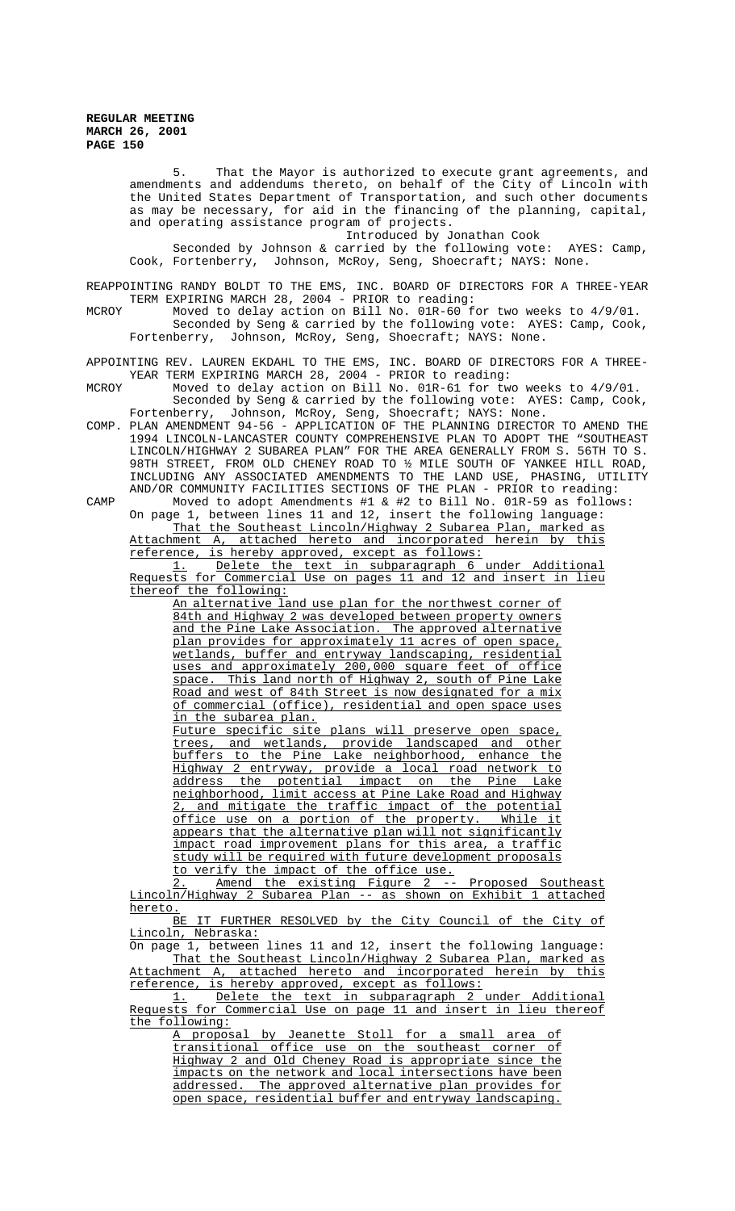5. That the Mayor is authorized to execute grant agreements, and amendments and addendums thereto, on behalf of the City of Lincoln with the United States Department of Transportation, and such other documents as may be necessary, for aid in the financing of the planning, capital, and operating assistance program of projects.

Introduced by Jonathan Cook

Seconded by Johnson & carried by the following vote: AYES: Camp, Cook, Fortenberry, Johnson, McRoy, Seng, Shoecraft; NAYS: None.

REAPPOINTING RANDY BOLDT TO THE EMS, INC. BOARD OF DIRECTORS FOR A THREE-YEAR TERM EXPIRING MARCH 28, 2004 - PRIOR to reading:

MCROY Moved to delay action on Bill No. 01R-60 for two weeks to 4/9/01. Seconded by Seng & carried by the following vote: AYES: Camp, Cook, Fortenberry, Johnson, McRoy, Seng, Shoecraft; NAYS: None.

APPOINTING REV. LAUREN EKDAHL TO THE EMS, INC. BOARD OF DIRECTORS FOR A THREE-YEAR TERM EXPIRING MARCH 28, 2004 - PRIOR to reading:

MCROY Moved to delay action on Bill No. 01R-61 for two weeks to 4/9/01.

Seconded by Seng & carried by the following vote: AYES: Camp, Cook, Fortenberry, Johnson, McRoy, Seng, Shoecraft; NAYS: None.

COMP. PLAN AMENDMENT 94-56 - APPLICATION OF THE PLANNING DIRECTOR TO AMEND THE 1994 LINCOLN-LANCASTER COUNTY COMPREHENSIVE PLAN TO ADOPT THE "SOUTHEAST LINCOLN/HIGHWAY 2 SUBAREA PLAN" FOR THE AREA GENERALLY FROM S. 56TH TO S. 98TH STREET, FROM OLD CHENEY ROAD TO ½ MILE SOUTH OF YANKEE HILL ROAD, INCLUDING ANY ASSOCIATED AMENDMENTS TO THE LAND USE, PHASING, UTILITY AND/OR COMMUNITY FACILITIES SECTIONS OF THE PLAN - PRIOR to reading:

CAMP Moved to adopt Amendments #1 & #2 to Bill No. 01R-59 as follows: On page 1, between lines 11 and 12, insert the following language: That the Southeast Lincoln/Highway 2 Subarea Plan, marked as

Attachment A, attached hereto and incorporated herein by this reference, is hereby approved, except as follows:

1. Delete the text in subparagraph 6 under Additional Requests for Commercial Use on pages 11 and 12 and insert in lieu thereof the following:

An alternative land use plan for the northwest corner of 84th and Highway 2 was developed between property owners and the Pine Lake Association. The approved alternative plan provides for approximately 11 acres of open space, wetlands, buffer and entryway landscaping, residential uses and approximately 200,000 square feet of office space. This land north of Highway 2, south of Pine Lake Road and west of 84th Street is now designated for a mix of commercial (office), residential and open space uses in the subarea plan.

Future specific site plans will preserve open space, trees, and wetlands, provide landscaped and other buffers to the Pine Lake neighborhood, enhance the Highway 2 entryway, provide a local road network to address the potential impact on the Pine Lake neighborhood, limit access at Pine Lake Road and Highway 2, and mitigate the traffic impact of the potential<br>office use on a portion of the property. While it  $of$   $f$  ice use on a portion of the property. appears that the alternative plan will not significantly impact road improvement plans for this area, a traffic study will be required with future development proposals to verify the impact of the office use.

Amend the existing Figure 2 -- Proposed Southeast Lincoln/Highway 2 Subarea Plan -- as shown on Exhibit 1 attached hereto.

BE IT FURTHER RESOLVED by the City Council of the City of Lincoln, Nebraska:

On page 1, between lines 11 and 12, insert the following language: That the Southeast Lincoln/Highway 2 Subarea Plan, marked as Attachment A, attached hereto and incorporated herein by this reference, is hereby approved, except as follows:

1. Delete the text in subparagraph 2 under Additional Requests for Commercial Use on page 11 and insert in lieu thereof the following:

A proposal by Jeanette Stoll for a small area of transitional office use on the southeast corner of Highway 2 and Old Cheney Road is appropriate since the impacts on the network and local intersections have been addressed. The approved alternative plan provides for open space, residential buffer and entryway landscaping.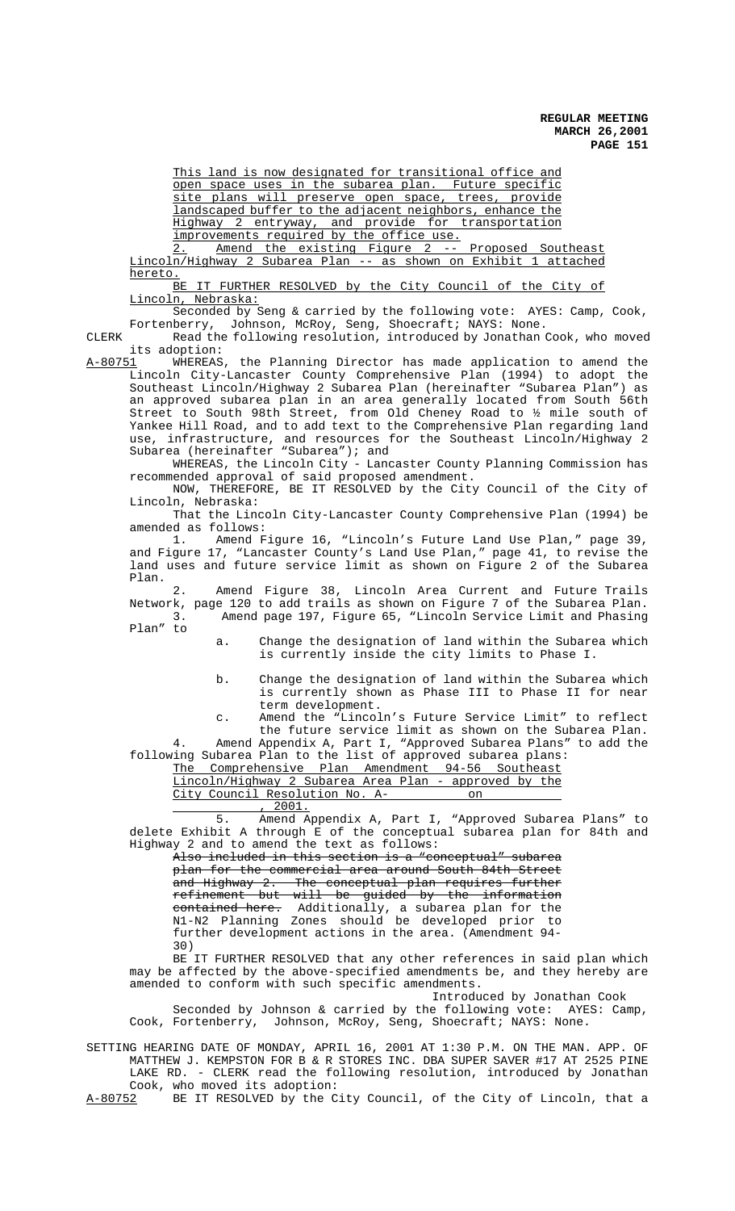This land is now designated for transitional office and open space uses in the subarea plan. Future specific site plans will preserve open space, trees, provide landscaped buffer to the adjacent neighbors, enhance the Highway 2 entryway, and provide for transportation improvements required by the office use.

2. Amend the existing Figure 2 -- Proposed Southeast Lincoln/Highway 2 Subarea Plan -- as shown on Exhibit 1 attached hereto.

BE IT FURTHER RESOLVED by the City Council of the City of Lincoln, Nebraska:

Seconded by Seng & carried by the following vote: AYES: Camp, Cook, Fortenberry, Johnson, McRoy, Seng, Shoecraft; NAYS: None.

CLERK Read the following resolution, introduced by Jonathan Cook, who moved its adoption:

A-80751 WHEREAS, the Planning Director has made application to amend the Lincoln City-Lancaster County Comprehensive Plan (1994) to adopt the Southeast Lincoln/Highway 2 Subarea Plan (hereinafter "Subarea Plan") as an approved subarea plan in an area generally located from South 56th Street to South 98th Street, from Old Cheney Road to ½ mile south of Yankee Hill Road, and to add text to the Comprehensive Plan regarding land use, infrastructure, and resources for the Southeast Lincoln/Highway 2 Subarea (hereinafter "Subarea"); and

WHEREAS, the Lincoln City - Lancaster County Planning Commission has recommended approval of said proposed amendment.

NOW, THEREFORE, BE IT RESOLVED by the City Council of the City of Lincoln, Nebraska:

That the Lincoln City-Lancaster County Comprehensive Plan (1994) be amended as follows:

1. Amend Figure 16, "Lincoln's Future Land Use Plan," page 39, and Figure 17, "Lancaster County's Land Use Plan," page 41, to revise the land uses and future service limit as shown on Figure 2 of the Subarea Plan.

 2. Amend Figure 38, Lincoln Area Current and Future Trails Network, page 120 to add trails as shown on Figure 7 of the Subarea Plan. 3. Amend page 197, Figure 65, "Lincoln Service Limit and Phasing Plan" to

a. Change the designation of land within the Subarea which is currently inside the city limits to Phase I.

b. Change the designation of land within the Subarea which is currently shown as Phase III to Phase II for near term development.

c. Amend the "Lincoln's Future Service Limit" to reflect the future service limit as shown on the Subarea Plan. 4. Amend Appendix A, Part I, "Approved Subarea Plans" to add the following Subarea Plan to the list of approved subarea plans:

The Comprehensive Plan Amendment 94-56 Southeast Lincoln/Highway 2 Subarea Area Plan - approved by the City Council Resolution No. A- on

1001.<br>5. Amend A 5. Amend Appendix A, Part I, "Approved Subarea Plans" to delete Exhibit A through E of the conceptual subarea plan for 84th and Highway 2 and to amend the text as follows:

Also included in this section is a "conceptual" subarea plan for the commercial area around South 84th Street and Highway 2. The conceptual plan requires further refinement but will be guided by the information contained here. Additionally, a subarea plan for the N1-N2 Planning Zones should be developed prior to further development actions in the area. (Amendment 94- 30)

BE IT FURTHER RESOLVED that any other references in said plan which may be affected by the above-specified amendments be, and they hereby are amended to conform with such specific amendments.

Introduced by Jonathan Cook

Seconded by Johnson & carried by the following vote: AYES: Camp, Cook, Fortenberry, Johnson, McRoy, Seng, Shoecraft; NAYS: None.

SETTING HEARING DATE OF MONDAY, APRIL 16, 2001 AT 1:30 P.M. ON THE MAN. APP. OF MATTHEW J. KEMPSTON FOR B & R STORES INC. DBA SUPER SAVER #17 AT 2525 PINE LAKE RD. - CLERK read the following resolution, introduced by Jonathan Cook, who moved its adoption:<br>A-80752 BE IT RESOLVED by the C

BE IT RESOLVED by the City Council, of the City of Lincoln, that a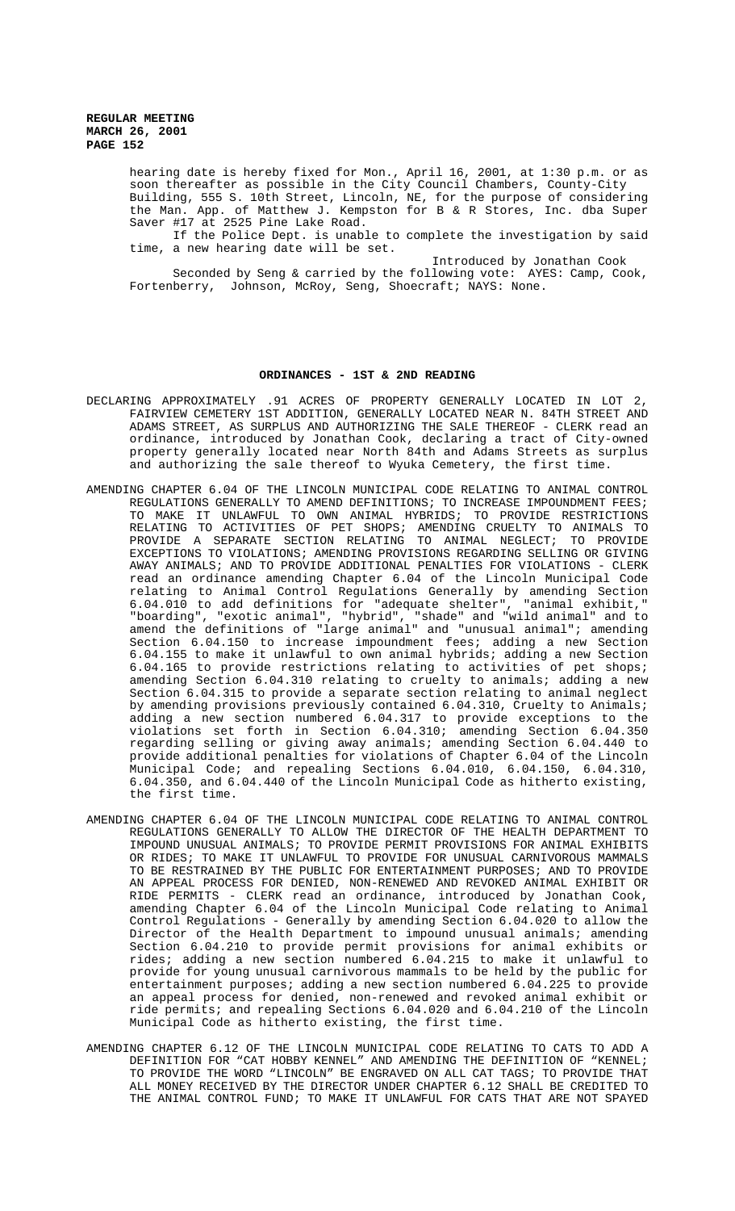> hearing date is hereby fixed for Mon., April 16, 2001, at 1:30 p.m. or as soon thereafter as possible in the City Council Chambers, County-City Building, 555 S. 10th Street, Lincoln, NE, for the purpose of considering the Man. App. of Matthew J. Kempston for B & R Stores, Inc. dba Super Saver #17 at 2525 Pine Lake Road.

> If the Police Dept. is unable to complete the investigation by said time, a new hearing date will be set.

Introduced by Jonathan Cook

Seconded by Seng & carried by the following vote: AYES: Camp, Cook, Fortenberry, Johnson, McRoy, Seng, Shoecraft; NAYS: None.

#### **ORDINANCES - 1ST & 2ND READING**

- DECLARING APPROXIMATELY .91 ACRES OF PROPERTY GENERALLY LOCATED IN LOT 2, FAIRVIEW CEMETERY 1ST ADDITION, GENERALLY LOCATED NEAR N. 84TH STREET AND ADAMS STREET, AS SURPLUS AND AUTHORIZING THE SALE THEREOF - CLERK read an ordinance, introduced by Jonathan Cook, declaring a tract of City-owned property generally located near North 84th and Adams Streets as surplus and authorizing the sale thereof to Wyuka Cemetery, the first time.
- AMENDING CHAPTER 6.04 OF THE LINCOLN MUNICIPAL CODE RELATING TO ANIMAL CONTROL REGULATIONS GENERALLY TO AMEND DEFINITIONS; TO INCREASE IMPOUNDMENT FEES; TO MAKE IT UNLAWFUL TO OWN ANIMAL HYBRIDS; TO PROVIDE RESTRICTIONS RELATING TO ACTIVITIES OF PET SHOPS; AMENDING CRUELTY TO ANIMALS TO PROVIDE A SEPARATE SECTION RELATING TO ANIMAL NEGLECT; TO PROVIDE EXCEPTIONS TO VIOLATIONS; AMENDING PROVISIONS REGARDING SELLING OR GIVING AWAY ANIMALS; AND TO PROVIDE ADDITIONAL PENALTIES FOR VIOLATIONS - CLERK read an ordinance amending Chapter 6.04 of the Lincoln Municipal Code relating to Animal Control Regulations Generally by amending Section 6.04.010 to add definitions for "adequate shelter", "animal exhibit," "boarding", "exotic animal", "hybrid", "shade" and "wild animal" and to amend the definitions of "large animal" and "unusual animal"; amending Section 6.04.150 to increase impoundment fees; adding a new Section 6.04.155 to make it unlawful to own animal hybrids; adding a new Section 6.04.165 to provide restrictions relating to activities of pet shops; amending Section 6.04.310 relating to cruelty to animals; adding a new Section 6.04.315 to provide a separate section relating to animal neglect by amending provisions previously contained 6.04.310, Cruelty to Animals; adding a new section numbered 6.04.317 to provide exceptions to the violations set forth in Section 6.04.310; amending Section 6.04.350 regarding selling or giving away animals; amending Section 6.04.440 to provide additional penalties for violations of Chapter 6.04 of the Lincoln Municipal Code; and repealing Sections 6.04.010, 6.04.150, 6.04.310, 6.04.350, and 6.04.440 of the Lincoln Municipal Code as hitherto existing, the first time.
- AMENDING CHAPTER 6.04 OF THE LINCOLN MUNICIPAL CODE RELATING TO ANIMAL CONTROL REGULATIONS GENERALLY TO ALLOW THE DIRECTOR OF THE HEALTH DEPARTMENT TO IMPOUND UNUSUAL ANIMALS; TO PROVIDE PERMIT PROVISIONS FOR ANIMAL EXHIBITS OR RIDES; TO MAKE IT UNLAWFUL TO PROVIDE FOR UNUSUAL CARNIVOROUS MAMMALS TO BE RESTRAINED BY THE PUBLIC FOR ENTERTAINMENT PURPOSES; AND TO PROVIDE AN APPEAL PROCESS FOR DENIED, NON-RENEWED AND REVOKED ANIMAL EXHIBIT OR RIDE PERMITS - CLERK read an ordinance, introduced by Jonathan Cook, amending Chapter 6.04 of the Lincoln Municipal Code relating to Animal Control Regulations - Generally by amending Section 6.04.020 to allow the Director of the Health Department to impound unusual animals; amending Section 6.04.210 to provide permit provisions for animal exhibits or rides; adding a new section numbered 6.04.215 to make it unlawful to provide for young unusual carnivorous mammals to be held by the public for entertainment purposes; adding a new section numbered 6.04.225 to provide an appeal process for denied, non-renewed and revoked animal exhibit or ride permits; and repealing Sections 6.04.020 and 6.04.210 of the Lincoln Municipal Code as hitherto existing, the first time.
- AMENDING CHAPTER 6.12 OF THE LINCOLN MUNICIPAL CODE RELATING TO CATS TO ADD A DEFINITION FOR "CAT HOBBY KENNEL" AND AMENDING THE DEFINITION OF "KENNEL; TO PROVIDE THE WORD "LINCOLN" BE ENGRAVED ON ALL CAT TAGS; TO PROVIDE THAT ALL MONEY RECEIVED BY THE DIRECTOR UNDER CHAPTER 6.12 SHALL BE CREDITED TO THE ANIMAL CONTROL FUND; TO MAKE IT UNLAWFUL FOR CATS THAT ARE NOT SPAYED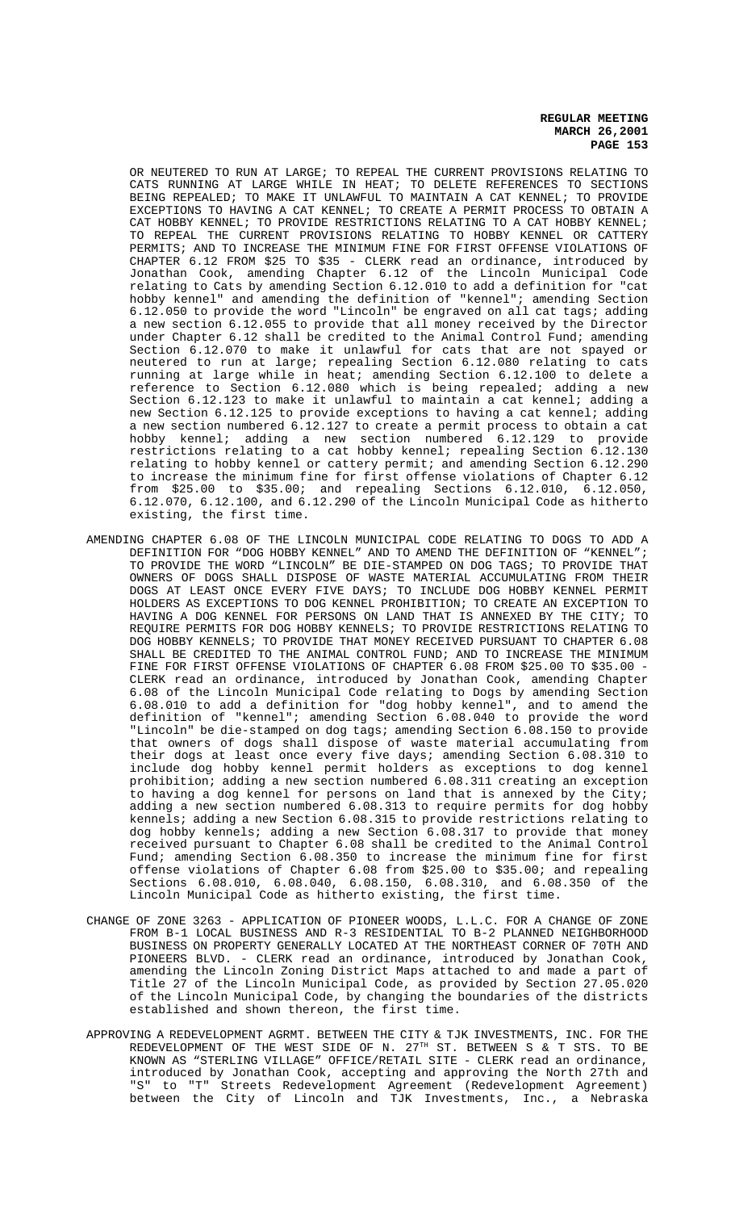OR NEUTERED TO RUN AT LARGE; TO REPEAL THE CURRENT PROVISIONS RELATING TO CATS RUNNING AT LARGE WHILE IN HEAT; TO DELETE REFERENCES TO SECTIONS BEING REPEALED; TO MAKE IT UNLAWFUL TO MAINTAIN A CAT KENNEL; TO PROVIDE EXCEPTIONS TO HAVING A CAT KENNEL; TO CREATE A PERMIT PROCESS TO OBTAIN A CAT HOBBY KENNEL; TO PROVIDE RESTRICTIONS RELATING TO A CAT HOBBY KENNEL; TO REPEAL THE CURRENT PROVISIONS RELATING TO HOBBY KENNEL OR CATTERY PERMITS; AND TO INCREASE THE MINIMUM FINE FOR FIRST OFFENSE VIOLATIONS OF CHAPTER 6.12 FROM \$25 TO \$35 - CLERK read an ordinance, introduced by Jonathan Cook, amending Chapter 6.12 of the Lincoln Municipal Code relating to Cats by amending Section 6.12.010 to add a definition for "cat hobby kennel" and amending the definition of "kennel"; amending Section 6.12.050 to provide the word "Lincoln" be engraved on all cat tags; adding a new section 6.12.055 to provide that all money received by the Director under Chapter 6.12 shall be credited to the Animal Control Fund; amending Section 6.12.070 to make it unlawful for cats that are not spayed or neutered to run at large; repealing Section 6.12.080 relating to cats running at large while in heat; amending Section 6.12.100 to delete a reference to Section 6.12.080 which is being repealed; adding a new Section 6.12.123 to make it unlawful to maintain a cat kennel; adding a new Section 6.12.125 to provide exceptions to having a cat kennel; adding a new section numbered 6.12.127 to create a permit process to obtain a cat hobby kennel; adding a new section numbered 6.12.129 to provide restrictions relating to a cat hobby kennel; repealing Section 6.12.130 relating to hobby kennel or cattery permit; and amending Section 6.12.290 to increase the minimum fine for first offense violations of Chapter 6.12 from \$25.00 to \$35.00; and repealing Sections 6.12.010, 6.12.050, 6.12.070, 6.12.100, and 6.12.290 of the Lincoln Municipal Code as hitherto existing, the first time.

- AMENDING CHAPTER 6.08 OF THE LINCOLN MUNICIPAL CODE RELATING TO DOGS TO ADD A DEFINITION FOR "DOG HOBBY KENNEL" AND TO AMEND THE DEFINITION OF "KENNEL"; TO PROVIDE THE WORD "LINCOLN" BE DIE-STAMPED ON DOG TAGS; TO PROVIDE THAT OWNERS OF DOGS SHALL DISPOSE OF WASTE MATERIAL ACCUMULATING FROM THEIR DOGS AT LEAST ONCE EVERY FIVE DAYS; TO INCLUDE DOG HOBBY KENNEL PERMIT HOLDERS AS EXCEPTIONS TO DOG KENNEL PROHIBITION; TO CREATE AN EXCEPTION TO HAVING A DOG KENNEL FOR PERSONS ON LAND THAT IS ANNEXED BY THE CITY; TO REQUIRE PERMITS FOR DOG HOBBY KENNELS; TO PROVIDE RESTRICTIONS RELATING TO DOG HOBBY KENNELS; TO PROVIDE THAT MONEY RECEIVED PURSUANT TO CHAPTER 6.08 SHALL BE CREDITED TO THE ANIMAL CONTROL FUND; AND TO INCREASE THE MINIMUM FINE FOR FIRST OFFENSE VIOLATIONS OF CHAPTER 6.08 FROM \$25.00 TO \$35.00 -CLERK read an ordinance, introduced by Jonathan Cook, amending Chapter 6.08 of the Lincoln Municipal Code relating to Dogs by amending Section 6.08.010 to add a definition for "dog hobby kennel", and to amend the definition of "kennel"; amending Section 6.08.040 to provide the word "Lincoln" be die-stamped on dog tags; amending Section 6.08.150 to provide that owners of dogs shall dispose of waste material accumulating from their dogs at least once every five days; amending Section 6.08.310 to include dog hobby kennel permit holders as exceptions to dog kennel prohibition; adding a new section numbered 6.08.311 creating an exception to having a dog kennel for persons on land that is annexed by the City; adding a new section numbered 6.08.313 to require permits for dog hobby kennels; adding a new Section 6.08.315 to provide restrictions relating to dog hobby kennels; adding a new Section 6.08.317 to provide that money received pursuant to Chapter 6.08 shall be credited to the Animal Control Fund; amending Section 6.08.350 to increase the minimum fine for first offense violations of Chapter 6.08 from \$25.00 to \$35.00; and repealing Sections 6.08.010, 6.08.040, 6.08.150, 6.08.310, and 6.08.350 of the Lincoln Municipal Code as hitherto existing, the first time.
- CHANGE OF ZONE 3263 APPLICATION OF PIONEER WOODS, L.L.C. FOR A CHANGE OF ZONE FROM B-1 LOCAL BUSINESS AND R-3 RESIDENTIAL TO B-2 PLANNED NEIGHBORHOOD BUSINESS ON PROPERTY GENERALLY LOCATED AT THE NORTHEAST CORNER OF 70TH AND PIONEERS BLVD. - CLERK read an ordinance, introduced by Jonathan Cook, amending the Lincoln Zoning District Maps attached to and made a part of Title 27 of the Lincoln Municipal Code, as provided by Section 27.05.020 of the Lincoln Municipal Code, by changing the boundaries of the districts established and shown thereon, the first time.
- APPROVING A REDEVELOPMENT AGRMT. BETWEEN THE CITY & TJK INVESTMENTS, INC. FOR THE REDEVELOPMENT OF THE WEST SIDE OF N.  $27^{\text{TH}}$  ST. BETWEEN S & T STS. TO BE KNOWN AS "STERLING VILLAGE" OFFICE/RETAIL SITE - CLERK read an ordinance, introduced by Jonathan Cook, accepting and approving the North 27th and "S" to "T" Streets Redevelopment Agreement (Redevelopment Agreement) between the City of Lincoln and TJK Investments, Inc., a Nebraska